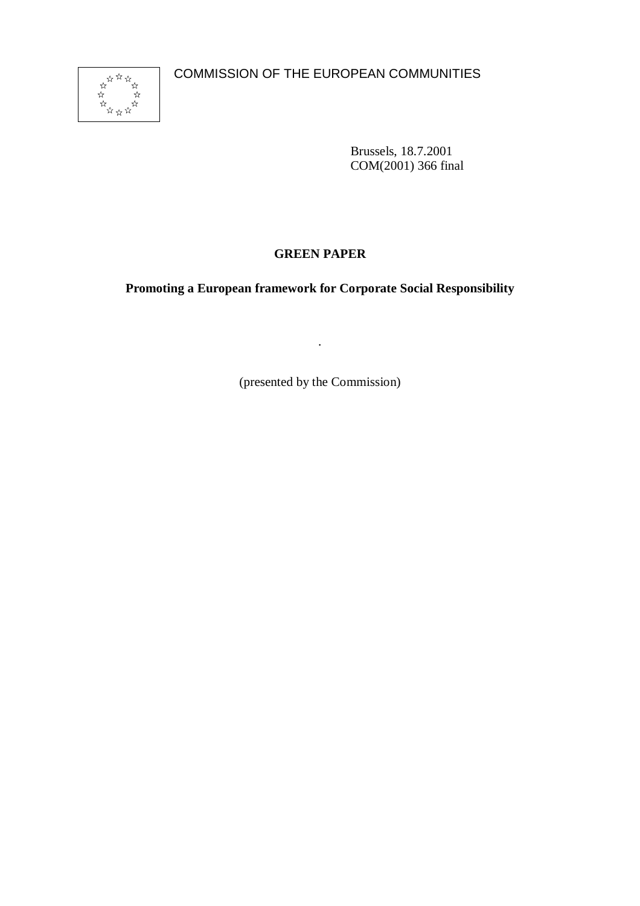COMMISSION OF THE EUROPEAN COMMUNITIES



Brussels, 18.7.2001 COM(2001) 366 final

# **GREEN PAPER**

**Promoting a European framework for Corporate Social Responsibility**

(presented by the Commission)

.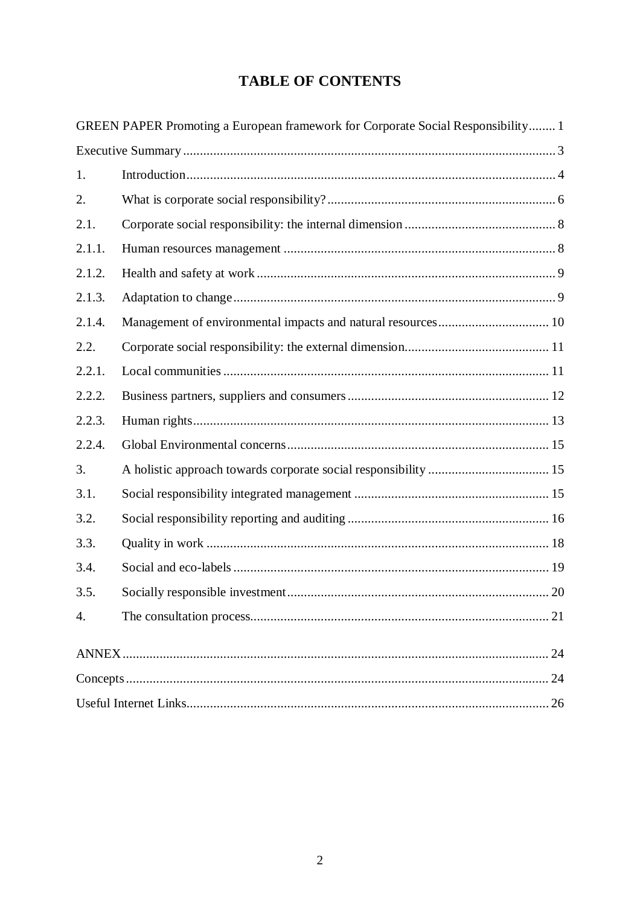# **TABLE OF CONTENTS**

|        | GREEN PAPER Promoting a European framework for Corporate Social Responsibility 1 |  |
|--------|----------------------------------------------------------------------------------|--|
|        |                                                                                  |  |
| 1.     |                                                                                  |  |
| 2.     |                                                                                  |  |
| 2.1.   |                                                                                  |  |
| 2.1.1. |                                                                                  |  |
| 2.1.2. |                                                                                  |  |
| 2.1.3. |                                                                                  |  |
| 2.1.4. |                                                                                  |  |
| 2.2.   |                                                                                  |  |
| 2.2.1. |                                                                                  |  |
| 2.2.2. |                                                                                  |  |
| 2.2.3. |                                                                                  |  |
| 2.2.4. |                                                                                  |  |
| 3.     |                                                                                  |  |
| 3.1.   |                                                                                  |  |
| 3.2.   |                                                                                  |  |
| 3.3.   |                                                                                  |  |
| 3.4.   |                                                                                  |  |
| 3.5.   |                                                                                  |  |
| 4.     |                                                                                  |  |
|        |                                                                                  |  |
|        |                                                                                  |  |
|        |                                                                                  |  |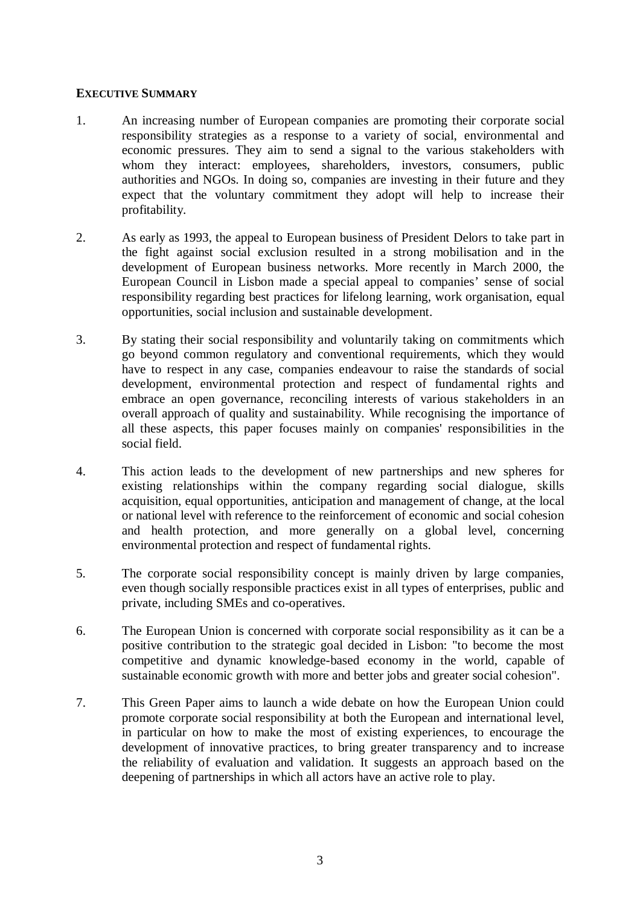### **EXECUTIVE SUMMARY**

- 1. An increasing number of European companies are promoting their corporate social responsibility strategies as a response to a variety of social, environmental and economic pressures. They aim to send a signal to the various stakeholders with whom they interact: employees, shareholders, investors, consumers, public authorities and NGOs. In doing so, companies are investing in their future and they expect that the voluntary commitment they adopt will help to increase their profitability.
- 2. As early as 1993, the appeal to European business of President Delors to take part in the fight against social exclusion resulted in a strong mobilisation and in the development of European business networks. More recently in March 2000, the European Council in Lisbon made a special appeal to companies' sense of social responsibility regarding best practices for lifelong learning, work organisation, equal opportunities, social inclusion and sustainable development.
- 3. By stating their social responsibility and voluntarily taking on commitments which go beyond common regulatory and conventional requirements, which they would have to respect in any case, companies endeavour to raise the standards of social development, environmental protection and respect of fundamental rights and embrace an open governance, reconciling interests of various stakeholders in an overall approach of quality and sustainability. While recognising the importance of all these aspects, this paper focuses mainly on companies' responsibilities in the social field.
- 4. This action leads to the development of new partnerships and new spheres for existing relationships within the company regarding social dialogue, skills acquisition, equal opportunities, anticipation and management of change, at the local or national level with reference to the reinforcement of economic and social cohesion and health protection, and more generally on a global level, concerning environmental protection and respect of fundamental rights.
- 5. The corporate social responsibility concept is mainly driven by large companies, even though socially responsible practices exist in all types of enterprises, public and private, including SMEs and co-operatives.
- 6. The European Union is concerned with corporate social responsibility as it can be a positive contribution to the strategic goal decided in Lisbon: "to become the most competitive and dynamic knowledge-based economy in the world, capable of sustainable economic growth with more and better jobs and greater social cohesion".
- 7. This Green Paper aims to launch a wide debate on how the European Union could promote corporate social responsibility at both the European and international level, in particular on how to make the most of existing experiences, to encourage the development of innovative practices, to bring greater transparency and to increase the reliability of evaluation and validation. It suggests an approach based on the deepening of partnerships in which all actors have an active role to play.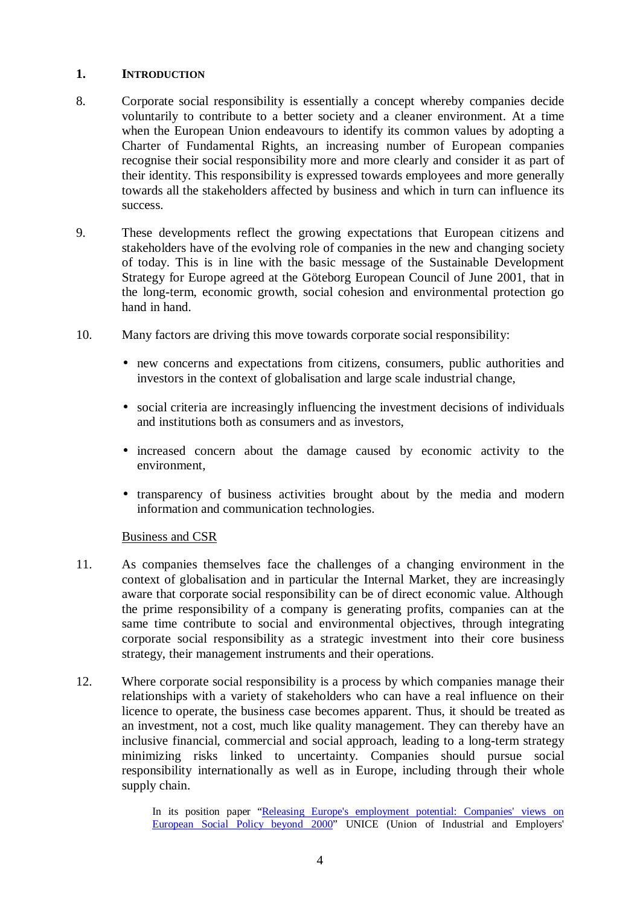### **1. INTRODUCTION**

- 8. Corporate social responsibility is essentially a concept whereby companies decide voluntarily to contribute to a better society and a cleaner environment. At a time when the European Union endeavours to identify its common values by adopting a Charter of Fundamental Rights, an increasing number of European companies recognise their social responsibility more and more clearly and consider it as part of their identity. This responsibility is expressed towards employees and more generally towards all the stakeholders affected by business and which in turn can influence its success.
- 9. These developments reflect the growing expectations that European citizens and stakeholders have of the evolving role of companies in the new and changing society of today. This is in line with the basic message of the Sustainable Development Strategy for Europe agreed at the Göteborg European Council of June 2001, that in the long-term, economic growth, social cohesion and environmental protection go hand in hand.
- 10. Many factors are driving this move towards corporate social responsibility:
	- new concerns and expectations from citizens, consumers, public authorities and investors in the context of globalisation and large scale industrial change,
	- social criteria are increasingly influencing the investment decisions of individuals and institutions both as consumers and as investors,
	- increased concern about the damage caused by economic activity to the environment,
	- transparency of business activities brought about by the media and modern information and communication technologies.

# Business and CSR

- 11. As companies themselves face the challenges of a changing environment in the context of globalisation and in particular the Internal Market, they are increasingly aware that corporate social responsibility can be of direct economic value. Although the prime responsibility of a company is generating profits, companies can at the same time contribute to social and environmental objectives, through integrating corporate social responsibility as a strategic investment into their core business strategy, their management instruments and their operations.
- 12. Where corporate social responsibility is a process by which companies manage their relationships with a variety of stakeholders who can have a real influence on their licence to operate, the business case becomes apparent. Thus, it should be treated as an investment, not a cost, much like quality management. They can thereby have an inclusive financial, commercial and social approach, leading to a long-term strategy minimizing risks linked to uncertainty. Companies should pursue social responsibility internationally as well as in Europe, including through their whole supply chain.

In its position paper "Releasing Europe's employment potential: Companies' views on European Social Policy beyond 2000" UNICE (Union of Industrial and Employers'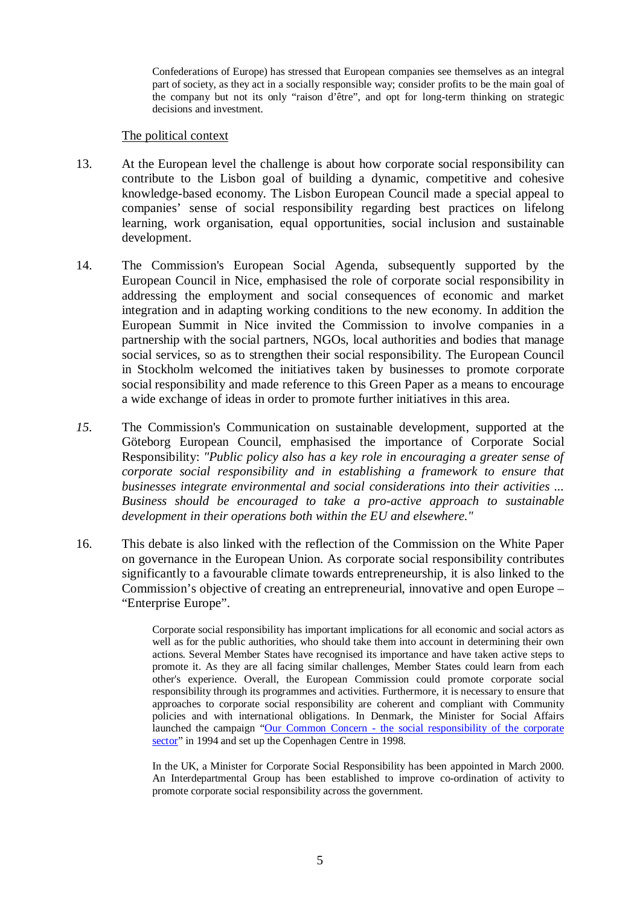Confederations of Europe) has stressed that European companies see themselves as an integral part of society, as they act in a socially responsible way; consider profits to be the main goal of the company but not its only "raison d'être", and opt for long-term thinking on strategic decisions and investment.

#### The political context

- 13. At the European level the challenge is about how corporate social responsibility can contribute to the Lisbon goal of building a dynamic, competitive and cohesive knowledge-based economy. The Lisbon European Council made a special appeal to companies' sense of social responsibility regarding best practices on lifelong learning, work organisation, equal opportunities, social inclusion and sustainable development.
- 14. The Commission's European Social Agenda, subsequently supported by the European Council in Nice, emphasised the role of corporate social responsibility in addressing the employment and social consequences of economic and market integration and in adapting working conditions to the new economy. In addition the European Summit in Nice invited the Commission to involve companies in a partnership with the social partners, NGOs, local authorities and bodies that manage social services, so as to strengthen their social responsibility. The European Council in Stockholm welcomed the initiatives taken by businesses to promote corporate social responsibility and made reference to this Green Paper as a means to encourage a wide exchange of ideas in order to promote further initiatives in this area.
- *15.* The Commission's Communication on sustainable development, supported at the Göteborg European Council, emphasised the importance of Corporate Social Responsibility: *"Public policy also has a key role in encouraging a greater sense of corporate social responsibility and in establishing a framework to ensure that businesses integrate environmental and social considerations into their activities ... Business should be encouraged to take a pro-active approach to sustainable development in their operations both within the EU and elsewhere."*
- 16. This debate is also linked with the reflection of the Commission on the White Paper on governance in the European Union. As corporate social responsibility contributes significantly to a favourable climate towards entrepreneurship, it is also linked to the Commission's objective of creating an entrepreneurial, innovative and open Europe – "Enterprise Europe".

Corporate social responsibility has important implications for all economic and social actors as well as for the public authorities, who should take them into account in determining their own actions. Several Member States have recognised its importance and have taken active steps to promote it. As they are all facing similar challenges, Member States could learn from each other's experience. Overall, the European Commission could promote corporate social responsibility through its programmes and activities. Furthermore, it is necessary to ensure that approaches to corporate social responsibility are coherent and compliant with Community policies and with international obligations. In Denmark, the Minister for Social Affairs launched the campaign "Our Common Concern - the social responsibility of the corporate sector" in 1994 and set up the Copenhagen Centre in 1998.

In the UK, a Minister for Corporate Social Responsibility has been appointed in March 2000. An Interdepartmental Group has been established to improve co-ordination of activity to promote corporate social responsibility across the government.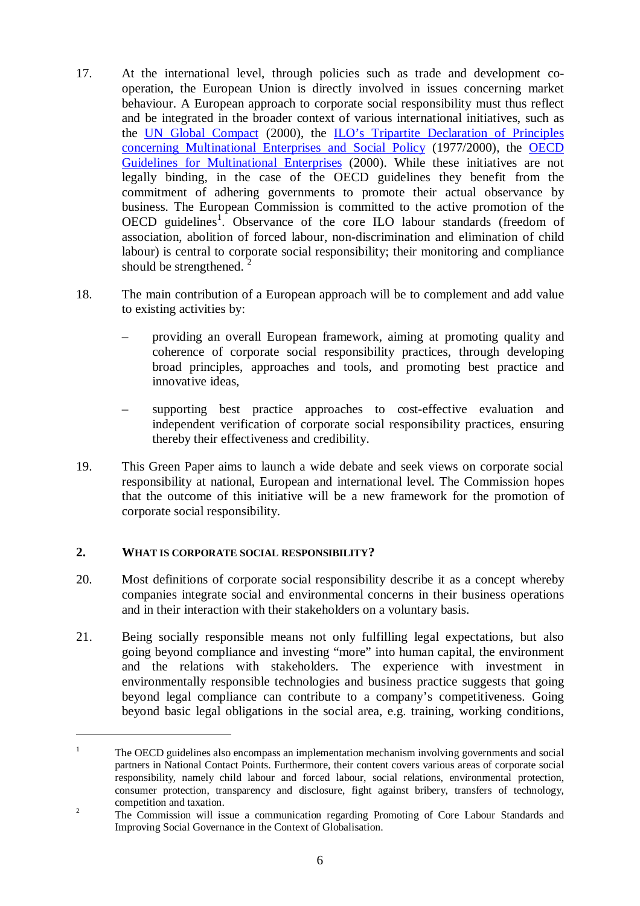- 17. At the international level, through policies such as trade and development cooperation, the European Union is directly involved in issues concerning market behaviour. A European approach to corporate social responsibility must thus reflect and be integrated in the broader context of various international initiatives, such as the UN Global Compact (2000), the LO's Tripartite Declaration of Principles concerning Multinational Enterprises and Social Policy (1977/2000), the OECD Guidelines for Multinational Enterprises (2000). While these initiatives are not legally binding, in the case of the OECD guidelines they benefit from the commitment of adhering governments to promote their actual observance by business. The European Commission is committed to the active promotion of the OECD guidelines<sup>1</sup>. Observance of the core ILO labour standards (freedom of association, abolition of forced labour, non-discrimination and elimination of child labour) is central to corporate social responsibility; their monitoring and compliance should be strengthened.<sup>2</sup>
- 18. The main contribution of a European approach will be to complement and add value to existing activities by:
	- providing an overall European framework, aiming at promoting quality and coherence of corporate social responsibility practices, through developing broad principles, approaches and tools, and promoting best practice and innovative ideas,
	- supporting best practice approaches to cost-effective evaluation and independent verification of corporate social responsibility practices, ensuring thereby their effectiveness and credibility.
- 19. This Green Paper aims to launch a wide debate and seek views on corporate social responsibility at national, European and international level. The Commission hopes that the outcome of this initiative will be a new framework for the promotion of corporate social responsibility.

# **2. WHAT IS CORPORATE SOCIAL RESPONSIBILITY?**

- 20. Most definitions of corporate social responsibility describe it as a concept whereby companies integrate social and environmental concerns in their business operations and in their interaction with their stakeholders on a voluntary basis.
- 21. Being socially responsible means not only fulfilling legal expectations, but also going beyond compliance and investing "more" into human capital, the environment and the relations with stakeholders. The experience with investment in environmentally responsible technologies and business practice suggests that going beyond legal compliance can contribute to a company's competitiveness. Going beyond basic legal obligations in the social area, e.g. training, working conditions,

 $1$  The OECD guidelines also encompass an implementation mechanism involving governments and social partners in National Contact Points. Furthermore, their content covers various areas of corporate social responsibility, namely child labour and forced labour, social relations, environmental protection, consumer protection, transparency and disclosure, fight against bribery, transfers of technology, competition and taxation.<br><sup>2</sup> The Commission will issue a communication regarding Promoting of Core Labour Standards and

Improving Social Governance in the Context of Globalisation.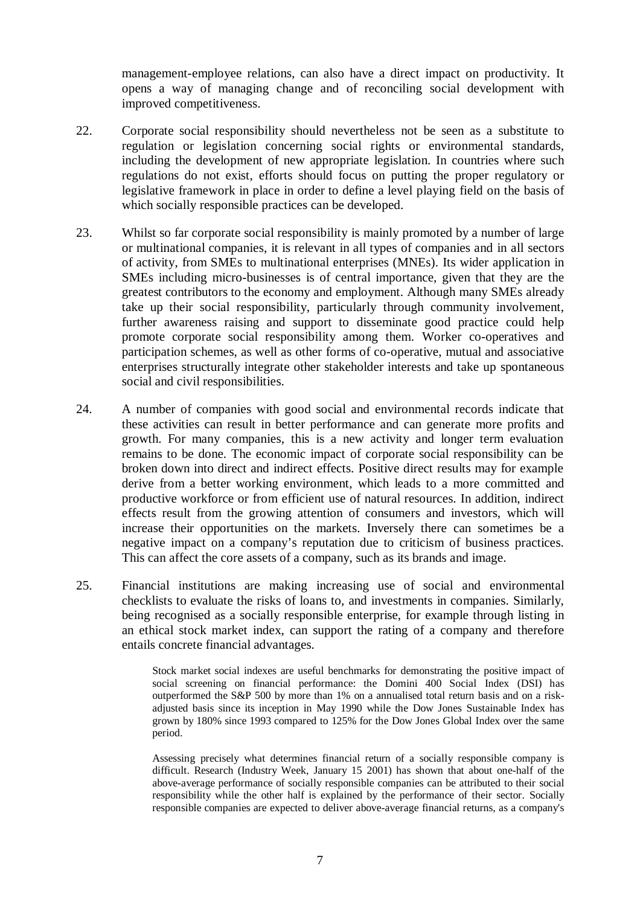management-employee relations, can also have a direct impact on productivity. It opens a way of managing change and of reconciling social development with improved competitiveness.

- 22. Corporate social responsibility should nevertheless not be seen as a substitute to regulation or legislation concerning social rights or environmental standards, including the development of new appropriate legislation. In countries where such regulations do not exist, efforts should focus on putting the proper regulatory or legislative framework in place in order to define a level playing field on the basis of which socially responsible practices can be developed.
- 23. Whilst so far corporate social responsibility is mainly promoted by a number of large or multinational companies, it is relevant in all types of companies and in all sectors of activity, from SMEs to multinational enterprises (MNEs). Its wider application in SMEs including micro-businesses is of central importance, given that they are the greatest contributors to the economy and employment. Although many SMEs already take up their social responsibility, particularly through community involvement, further awareness raising and support to disseminate good practice could help promote corporate social responsibility among them. Worker co-operatives and participation schemes, as well as other forms of co-operative, mutual and associative enterprises structurally integrate other stakeholder interests and take up spontaneous social and civil responsibilities.
- 24. A number of companies with good social and environmental records indicate that these activities can result in better performance and can generate more profits and growth. For many companies, this is a new activity and longer term evaluation remains to be done. The economic impact of corporate social responsibility can be broken down into direct and indirect effects. Positive direct results may for example derive from a better working environment, which leads to a more committed and productive workforce or from efficient use of natural resources. In addition, indirect effects result from the growing attention of consumers and investors, which will increase their opportunities on the markets. Inversely there can sometimes be a negative impact on a company's reputation due to criticism of business practices. This can affect the core assets of a company, such as its brands and image.
- 25. Financial institutions are making increasing use of social and environmental checklists to evaluate the risks of loans to, and investments in companies. Similarly, being recognised as a socially responsible enterprise, for example through listing in an ethical stock market index, can support the rating of a company and therefore entails concrete financial advantages.

Stock market social indexes are useful benchmarks for demonstrating the positive impact of social screening on financial performance: the Domini 400 Social Index (DSI) has outperformed the S&P 500 by more than 1% on a annualised total return basis and on a riskadjusted basis since its inception in May 1990 while the Dow Jones Sustainable Index has grown by 180% since 1993 compared to 125% for the Dow Jones Global Index over the same period.

Assessing precisely what determines financial return of a socially responsible company is difficult. Research (Industry Week, January 15 2001) has shown that about one-half of the above-average performance of socially responsible companies can be attributed to their social responsibility while the other half is explained by the performance of their sector. Socially responsible companies are expected to deliver above-average financial returns, as a company's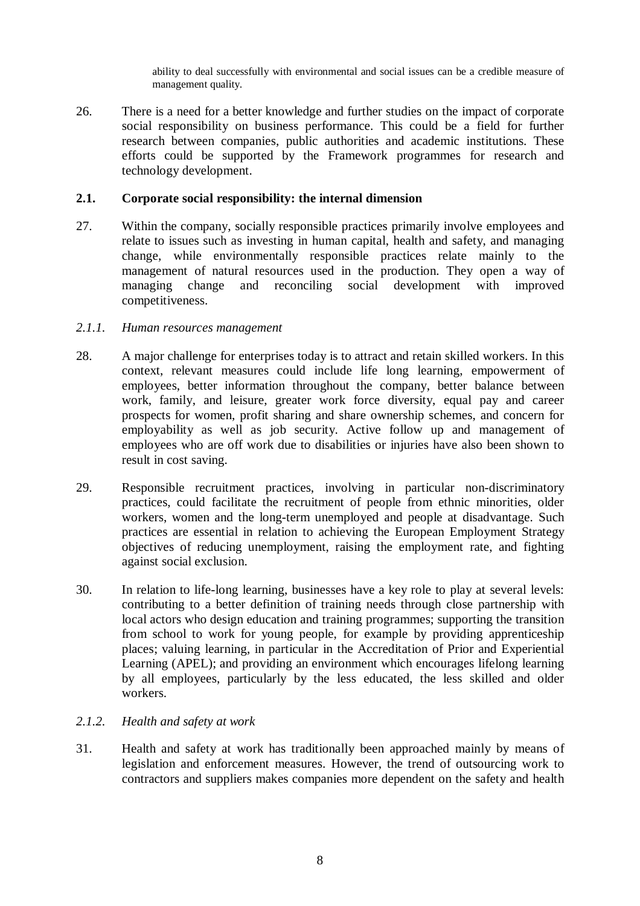ability to deal successfully with environmental and social issues can be a credible measure of management quality.

26. There is a need for a better knowledge and further studies on the impact of corporate social responsibility on business performance. This could be a field for further research between companies, public authorities and academic institutions. These efforts could be supported by the Framework programmes for research and technology development.

#### **2.1. Corporate social responsibility: the internal dimension**

27. Within the company, socially responsible practices primarily involve employees and relate to issues such as investing in human capital, health and safety, and managing change, while environmentally responsible practices relate mainly to the management of natural resources used in the production. They open a way of managing change and reconciling social development with improved competitiveness.

#### *2.1.1. Human resources management*

- 28. A major challenge for enterprises today is to attract and retain skilled workers. In this context, relevant measures could include life long learning, empowerment of employees, better information throughout the company, better balance between work, family, and leisure, greater work force diversity, equal pay and career prospects for women, profit sharing and share ownership schemes, and concern for employability as well as job security. Active follow up and management of employees who are off work due to disabilities or injuries have also been shown to result in cost saving.
- 29. Responsible recruitment practices, involving in particular non-discriminatory practices, could facilitate the recruitment of people from ethnic minorities, older workers, women and the long-term unemployed and people at disadvantage. Such practices are essential in relation to achieving the European Employment Strategy objectives of reducing unemployment, raising the employment rate, and fighting against social exclusion.
- 30. In relation to life-long learning, businesses have a key role to play at several levels: contributing to a better definition of training needs through close partnership with local actors who design education and training programmes; supporting the transition from school to work for young people, for example by providing apprenticeship places; valuing learning, in particular in the Accreditation of Prior and Experiential Learning (APEL); and providing an environment which encourages lifelong learning by all employees, particularly by the less educated, the less skilled and older workers.

#### *2.1.2. Health and safety at work*

31. Health and safety at work has traditionally been approached mainly by means of legislation and enforcement measures. However, the trend of outsourcing work to contractors and suppliers makes companies more dependent on the safety and health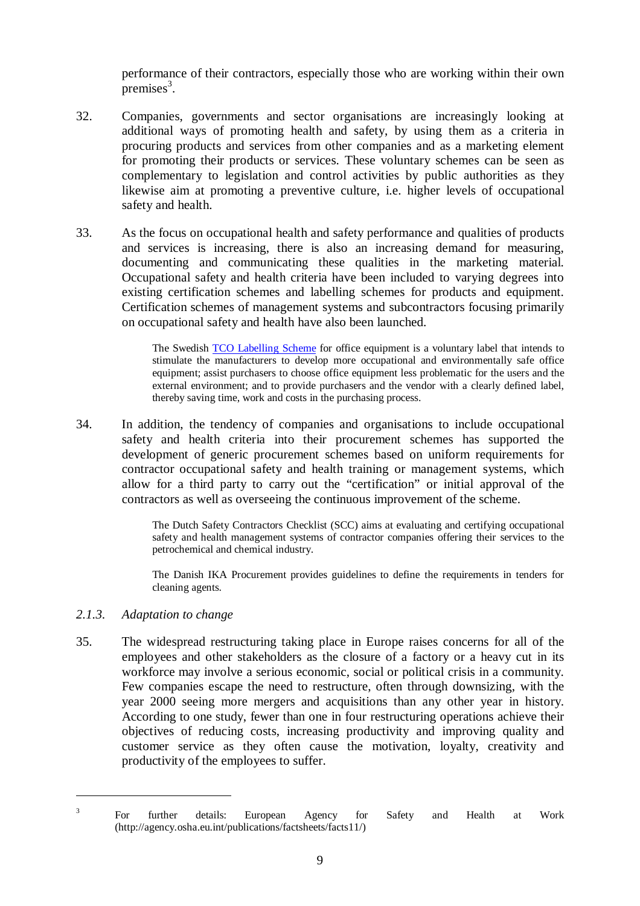performance of their contractors, especially those who are working within their own  $p$ remises<sup>3</sup>.

- 32. Companies, governments and sector organisations are increasingly looking at additional ways of promoting health and safety, by using them as a criteria in procuring products and services from other companies and as a marketing element for promoting their products or services. These voluntary schemes can be seen as complementary to legislation and control activities by public authorities as they likewise aim at promoting a preventive culture, i.e. higher levels of occupational safety and health.
- 33. As the focus on occupational health and safety performance and qualities of products and services is increasing, there is also an increasing demand for measuring, documenting and communicating these qualities in the marketing material. Occupational safety and health criteria have been included to varying degrees into existing certification schemes and labelling schemes for products and equipment. Certification schemes of management systems and subcontractors focusing primarily on occupational safety and health have also been launched.

The Swedish TCO Labelling Scheme for office equipment is a voluntary label that intends to stimulate the manufacturers to develop more occupational and environmentally safe office equipment; assist purchasers to choose office equipment less problematic for the users and the external environment; and to provide purchasers and the vendor with a clearly defined label, thereby saving time, work and costs in the purchasing process.

34. In addition, the tendency of companies and organisations to include occupational safety and health criteria into their procurement schemes has supported the development of generic procurement schemes based on uniform requirements for contractor occupational safety and health training or management systems, which allow for a third party to carry out the "certification" or initial approval of the contractors as well as overseeing the continuous improvement of the scheme.

> The Dutch Safety Contractors Checklist (SCC) aims at evaluating and certifying occupational safety and health management systems of contractor companies offering their services to the petrochemical and chemical industry.

> The Danish IKA Procurement provides guidelines to define the requirements in tenders for cleaning agents.

# *2.1.3. Adaptation to change*

35. The widespread restructuring taking place in Europe raises concerns for all of the employees and other stakeholders as the closure of a factory or a heavy cut in its workforce may involve a serious economic, social or political crisis in a community. Few companies escape the need to restructure, often through downsizing, with the year 2000 seeing more mergers and acquisitions than any other year in history. According to one study, fewer than one in four restructuring operations achieve their objectives of reducing costs, increasing productivity and improving quality and customer service as they often cause the motivation, loyalty, creativity and productivity of the employees to suffer.

<sup>&</sup>lt;sup>3</sup> For further details: European Agency for Safety and Health at Work (http://agency.osha.eu.int/publications/factsheets/facts11/)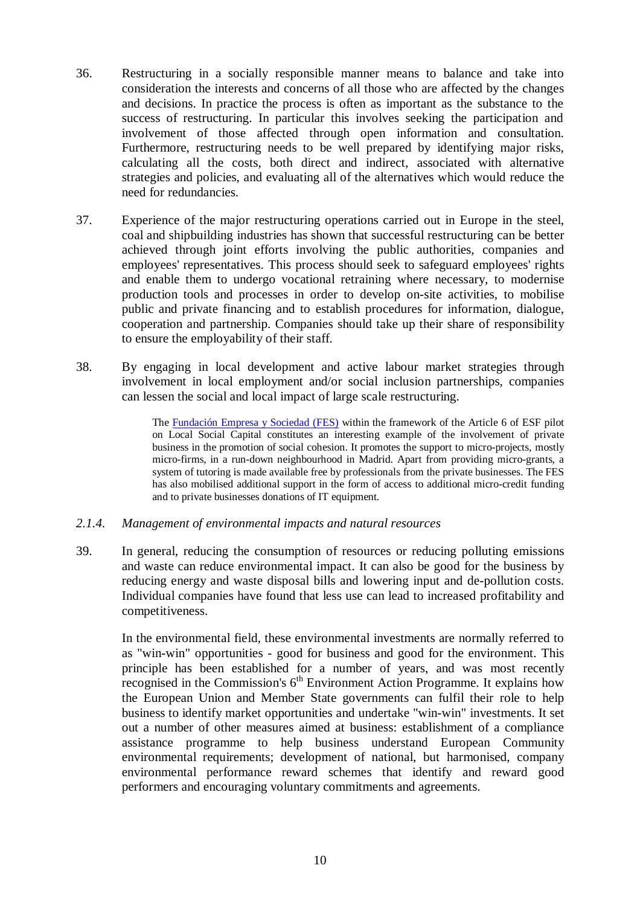- 36. Restructuring in a socially responsible manner means to balance and take into consideration the interests and concerns of all those who are affected by the changes and decisions. In practice the process is often as important as the substance to the success of restructuring. In particular this involves seeking the participation and involvement of those affected through open information and consultation. Furthermore, restructuring needs to be well prepared by identifying major risks, calculating all the costs, both direct and indirect, associated with alternative strategies and policies, and evaluating all of the alternatives which would reduce the need for redundancies.
- 37. Experience of the major restructuring operations carried out in Europe in the steel, coal and shipbuilding industries has shown that successful restructuring can be better achieved through joint efforts involving the public authorities, companies and employees' representatives. This process should seek to safeguard employees' rights and enable them to undergo vocational retraining where necessary, to modernise production tools and processes in order to develop on-site activities, to mobilise public and private financing and to establish procedures for information, dialogue, cooperation and partnership. Companies should take up their share of responsibility to ensure the employability of their staff.
- 38. By engaging in local development and active labour market strategies through involvement in local employment and/or social inclusion partnerships, companies can lessen the social and local impact of large scale restructuring.

The Fundación Empresa y Sociedad (FES) within the framework of the Article 6 of ESF pilot on Local Social Capital constitutes an interesting example of the involvement of private business in the promotion of social cohesion. It promotes the support to micro-projects, mostly micro-firms, in a run-down neighbourhood in Madrid. Apart from providing micro-grants, a system of tutoring is made available free by professionals from the private businesses. The FES has also mobilised additional support in the form of access to additional micro-credit funding and to private businesses donations of IT equipment.

#### *2.1.4. Management of environmental impacts and natural resources*

39. In general, reducing the consumption of resources or reducing polluting emissions and waste can reduce environmental impact. It can also be good for the business by reducing energy and waste disposal bills and lowering input and de-pollution costs. Individual companies have found that less use can lead to increased profitability and competitiveness.

In the environmental field, these environmental investments are normally referred to as "win-win" opportunities - good for business and good for the environment. This principle has been established for a number of years, and was most recently recognised in the Commission's  $6<sup>th</sup>$  Environment Action Programme. It explains how the European Union and Member State governments can fulfil their role to help business to identify market opportunities and undertake "win-win" investments. It set out a number of other measures aimed at business: establishment of a compliance assistance programme to help business understand European Community environmental requirements; development of national, but harmonised, company environmental performance reward schemes that identify and reward good performers and encouraging voluntary commitments and agreements.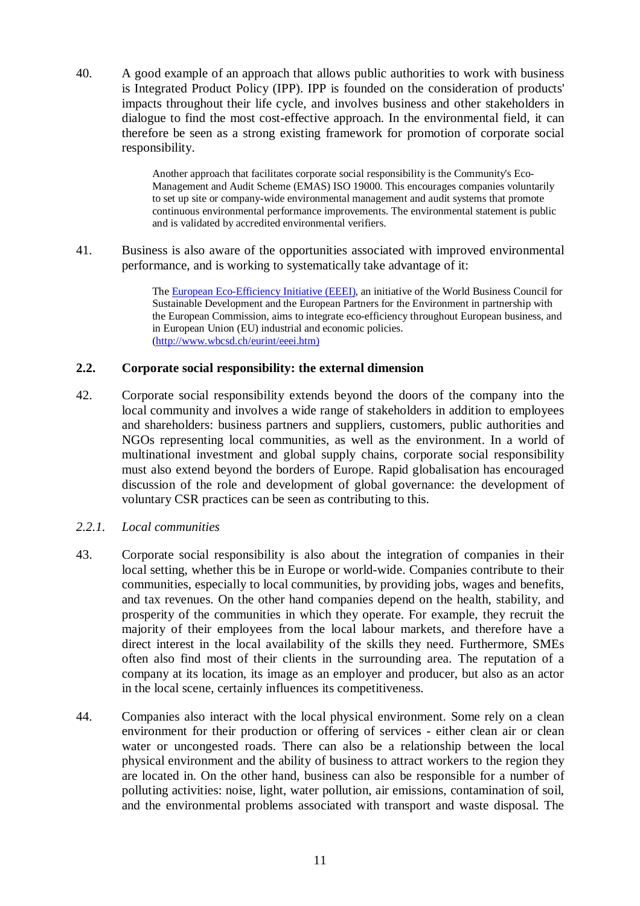40. A good example of an approach that allows public authorities to work with business is Integrated Product Policy (IPP). IPP is founded on the consideration of products' impacts throughout their life cycle, and involves business and other stakeholders in dialogue to find the most cost-effective approach. In the environmental field, it can therefore be seen as a strong existing framework for promotion of corporate social responsibility.

> Another approach that facilitates corporate social responsibility is the Community's Eco-Management and Audit Scheme (EMAS) ISO 19000. This encourages companies voluntarily to set up site or company-wide environmental management and audit systems that promote continuous environmental performance improvements. The environmental statement is public and is validated by accredited environmental verifiers.

41. Business is also aware of the opportunities associated with improved environmental performance, and is working to systematically take advantage of it:

> The European Eco-Efficiency Initiative (EEEI), an initiative of the World Business Council for Sustainable Development and the European Partners for the Environment in partnership with the European Commission, aims to integrate eco-efficiency throughout European business, and in European Union (EU) industrial and economic policies. (http://www.wbcsd.ch/eurint/eeei.htm)

#### **2.2. Corporate social responsibility: the external dimension**

42. Corporate social responsibility extends beyond the doors of the company into the local community and involves a wide range of stakeholders in addition to employees and shareholders: business partners and suppliers, customers, public authorities and NGOs representing local communities, as well as the environment. In a world of multinational investment and global supply chains, corporate social responsibility must also extend beyond the borders of Europe. Rapid globalisation has encouraged discussion of the role and development of global governance: the development of voluntary CSR practices can be seen as contributing to this.

#### *2.2.1. Local communities*

- 43. Corporate social responsibility is also about the integration of companies in their local setting, whether this be in Europe or world-wide. Companies contribute to their communities, especially to local communities, by providing jobs, wages and benefits, and tax revenues. On the other hand companies depend on the health, stability, and prosperity of the communities in which they operate. For example, they recruit the majority of their employees from the local labour markets, and therefore have a direct interest in the local availability of the skills they need. Furthermore, SMEs often also find most of their clients in the surrounding area. The reputation of a company at its location, its image as an employer and producer, but also as an actor in the local scene, certainly influences its competitiveness.
- 44. Companies also interact with the local physical environment. Some rely on a clean environment for their production or offering of services - either clean air or clean water or uncongested roads. There can also be a relationship between the local physical environment and the ability of business to attract workers to the region they are located in. On the other hand, business can also be responsible for a number of polluting activities: noise, light, water pollution, air emissions, contamination of soil, and the environmental problems associated with transport and waste disposal. The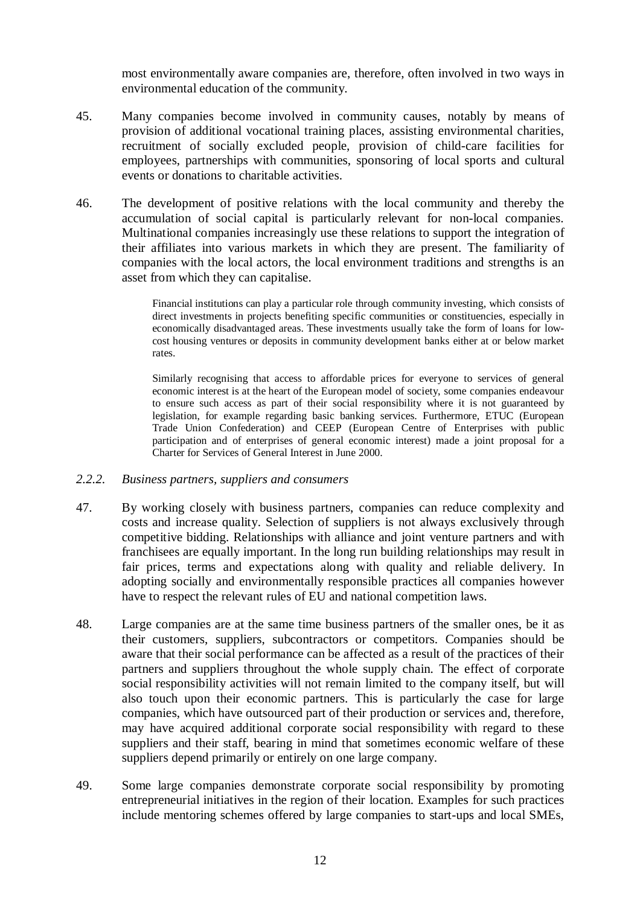most environmentally aware companies are, therefore, often involved in two ways in environmental education of the community.

- 45. Many companies become involved in community causes, notably by means of provision of additional vocational training places, assisting environmental charities, recruitment of socially excluded people, provision of child-care facilities for employees, partnerships with communities, sponsoring of local sports and cultural events or donations to charitable activities.
- 46. The development of positive relations with the local community and thereby the accumulation of social capital is particularly relevant for non-local companies. Multinational companies increasingly use these relations to support the integration of their affiliates into various markets in which they are present. The familiarity of companies with the local actors, the local environment traditions and strengths is an asset from which they can capitalise.

Financial institutions can play a particular role through community investing, which consists of direct investments in projects benefiting specific communities or constituencies, especially in economically disadvantaged areas. These investments usually take the form of loans for lowcost housing ventures or deposits in community development banks either at or below market rates.

Similarly recognising that access to affordable prices for everyone to services of general economic interest is at the heart of the European model of society, some companies endeavour to ensure such access as part of their social responsibility where it is not guaranteed by legislation, for example regarding basic banking services. Furthermore, ETUC (European Trade Union Confederation) and CEEP (European Centre of Enterprises with public participation and of enterprises of general economic interest) made a joint proposal for a Charter for Services of General Interest in June 2000.

#### *2.2.2. Business partners, suppliers and consumers*

- 47. By working closely with business partners, companies can reduce complexity and costs and increase quality. Selection of suppliers is not always exclusively through competitive bidding. Relationships with alliance and joint venture partners and with franchisees are equally important. In the long run building relationships may result in fair prices, terms and expectations along with quality and reliable delivery. In adopting socially and environmentally responsible practices all companies however have to respect the relevant rules of EU and national competition laws.
- 48. Large companies are at the same time business partners of the smaller ones, be it as their customers, suppliers, subcontractors or competitors. Companies should be aware that their social performance can be affected as a result of the practices of their partners and suppliers throughout the whole supply chain. The effect of corporate social responsibility activities will not remain limited to the company itself, but will also touch upon their economic partners. This is particularly the case for large companies, which have outsourced part of their production or services and, therefore, may have acquired additional corporate social responsibility with regard to these suppliers and their staff, bearing in mind that sometimes economic welfare of these suppliers depend primarily or entirely on one large company.
- 49. Some large companies demonstrate corporate social responsibility by promoting entrepreneurial initiatives in the region of their location. Examples for such practices include mentoring schemes offered by large companies to start-ups and local SMEs,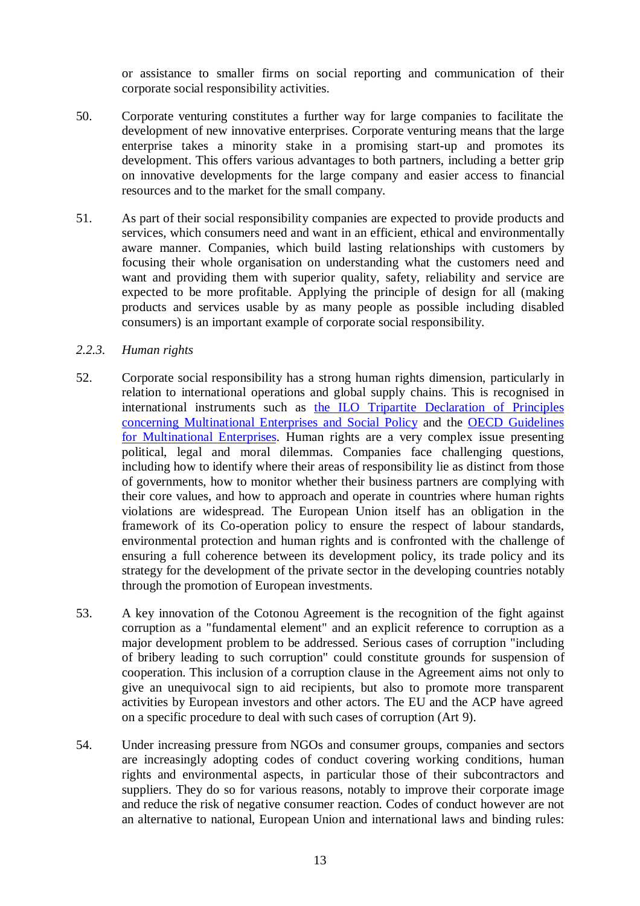or assistance to smaller firms on social reporting and communication of their corporate social responsibility activities.

- 50. Corporate venturing constitutes a further way for large companies to facilitate the development of new innovative enterprises. Corporate venturing means that the large enterprise takes a minority stake in a promising start-up and promotes its development. This offers various advantages to both partners, including a better grip on innovative developments for the large company and easier access to financial resources and to the market for the small company.
- 51. As part of their social responsibility companies are expected to provide products and services, which consumers need and want in an efficient, ethical and environmentally aware manner. Companies, which build lasting relationships with customers by focusing their whole organisation on understanding what the customers need and want and providing them with superior quality, safety, reliability and service are expected to be more profitable. Applying the principle of design for all (making products and services usable by as many people as possible including disabled consumers) is an important example of corporate social responsibility.

# *2.2.3. Human rights*

- 52. Corporate social responsibility has a strong human rights dimension, particularly in relation to international operations and global supply chains. This is recognised in international instruments such as the ILO Tripartite Declaration of Principles concerning Multinational Enterprises and Social Policy and the OECD Guidelines for Multinational Enterprises. Human rights are a very complex issue presenting political, legal and moral dilemmas. Companies face challenging questions, including how to identify where their areas of responsibility lie as distinct from those of governments, how to monitor whether their business partners are complying with their core values, and how to approach and operate in countries where human rights violations are widespread. The European Union itself has an obligation in the framework of its Co-operation policy to ensure the respect of labour standards, environmental protection and human rights and is confronted with the challenge of ensuring a full coherence between its development policy, its trade policy and its strategy for the development of the private sector in the developing countries notably through the promotion of European investments.
- 53. A key innovation of the Cotonou Agreement is the recognition of the fight against corruption as a "fundamental element" and an explicit reference to corruption as a major development problem to be addressed. Serious cases of corruption "including of bribery leading to such corruption" could constitute grounds for suspension of cooperation. This inclusion of a corruption clause in the Agreement aims not only to give an unequivocal sign to aid recipients, but also to promote more transparent activities by European investors and other actors. The EU and the ACP have agreed on a specific procedure to deal with such cases of corruption (Art 9).
- 54. Under increasing pressure from NGOs and consumer groups, companies and sectors are increasingly adopting codes of conduct covering working conditions, human rights and environmental aspects, in particular those of their subcontractors and suppliers. They do so for various reasons, notably to improve their corporate image and reduce the risk of negative consumer reaction. Codes of conduct however are not an alternative to national, European Union and international laws and binding rules: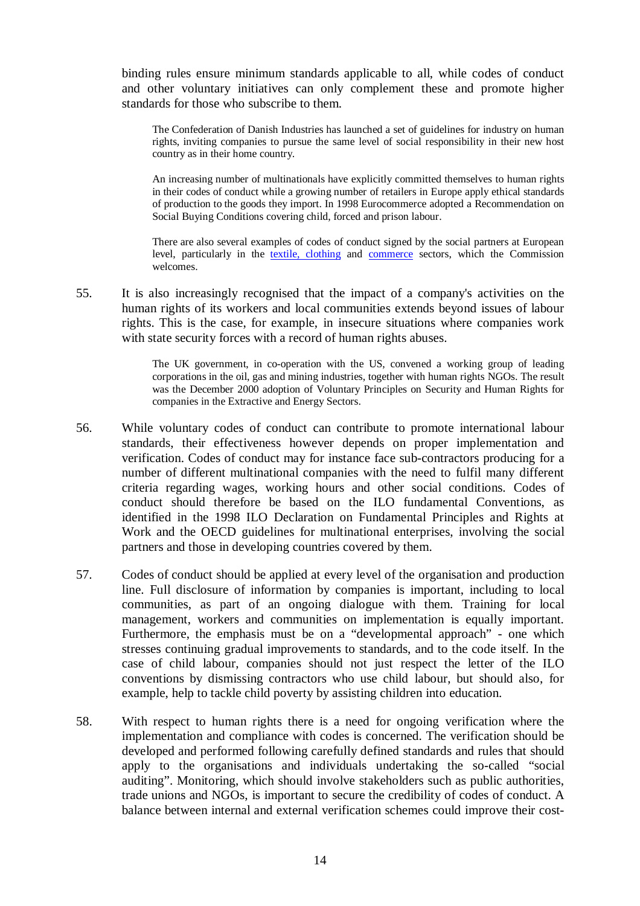binding rules ensure minimum standards applicable to all, while codes of conduct and other voluntary initiatives can only complement these and promote higher standards for those who subscribe to them.

The Confederation of Danish Industries has launched a set of guidelines for industry on human rights, inviting companies to pursue the same level of social responsibility in their new host country as in their home country.

An increasing number of multinationals have explicitly committed themselves to human rights in their codes of conduct while a growing number of retailers in Europe apply ethical standards of production to the goods they import. In 1998 Eurocommerce adopted a Recommendation on Social Buying Conditions covering child, forced and prison labour.

There are also several examples of codes of conduct signed by the social partners at European level, particularly in the textile, clothing and commerce sectors, which the Commission welcomes.

55. It is also increasingly recognised that the impact of a company's activities on the human rights of its workers and local communities extends beyond issues of labour rights. This is the case, for example, in insecure situations where companies work with state security forces with a record of human rights abuses.

> The UK government, in co-operation with the US, convened a working group of leading corporations in the oil, gas and mining industries, together with human rights NGOs. The result was the December 2000 adoption of Voluntary Principles on Security and Human Rights for companies in the Extractive and Energy Sectors.

- 56. While voluntary codes of conduct can contribute to promote international labour standards, their effectiveness however depends on proper implementation and verification. Codes of conduct may for instance face sub-contractors producing for a number of different multinational companies with the need to fulfil many different criteria regarding wages, working hours and other social conditions. Codes of conduct should therefore be based on the ILO fundamental Conventions, as identified in the 1998 ILO Declaration on Fundamental Principles and Rights at Work and the OECD guidelines for multinational enterprises, involving the social partners and those in developing countries covered by them.
- 57. Codes of conduct should be applied at every level of the organisation and production line. Full disclosure of information by companies is important, including to local communities, as part of an ongoing dialogue with them. Training for local management, workers and communities on implementation is equally important. Furthermore, the emphasis must be on a "developmental approach" - one which stresses continuing gradual improvements to standards, and to the code itself. In the case of child labour, companies should not just respect the letter of the ILO conventions by dismissing contractors who use child labour, but should also, for example, help to tackle child poverty by assisting children into education.
- 58. With respect to human rights there is a need for ongoing verification where the implementation and compliance with codes is concerned. The verification should be developed and performed following carefully defined standards and rules that should apply to the organisations and individuals undertaking the so-called "social auditing". Monitoring, which should involve stakeholders such as public authorities, trade unions and NGOs, is important to secure the credibility of codes of conduct. A balance between internal and external verification schemes could improve their cost-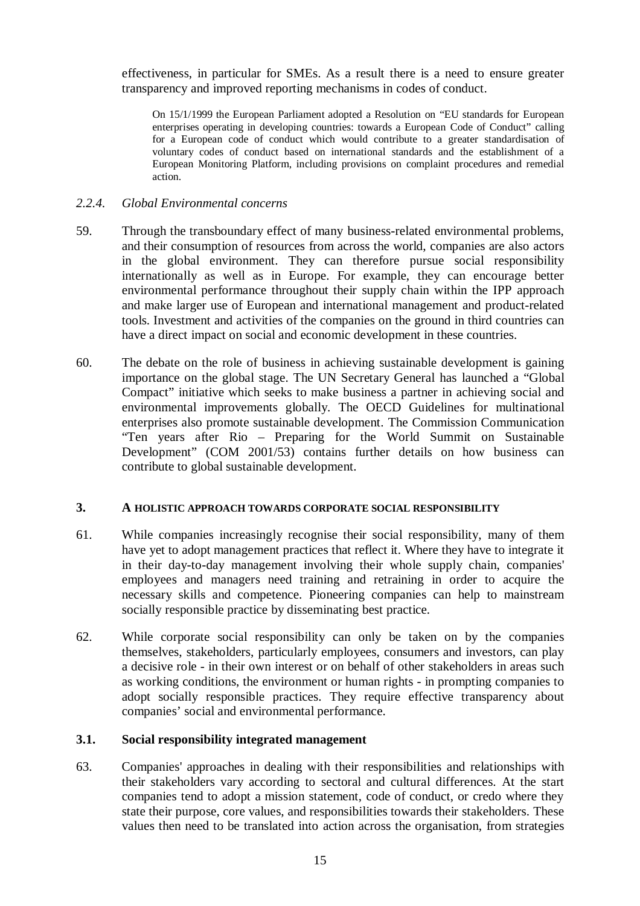effectiveness, in particular for SMEs. As a result there is a need to ensure greater transparency and improved reporting mechanisms in codes of conduct.

On 15/1/1999 the European Parliament adopted a Resolution on "EU standards for European enterprises operating in developing countries: towards a European Code of Conduct" calling for a European code of conduct which would contribute to a greater standardisation of voluntary codes of conduct based on international standards and the establishment of a European Monitoring Platform, including provisions on complaint procedures and remedial action.

# *2.2.4. Global Environmental concerns*

- 59. Through the transboundary effect of many business-related environmental problems, and their consumption of resources from across the world, companies are also actors in the global environment. They can therefore pursue social responsibility internationally as well as in Europe. For example, they can encourage better environmental performance throughout their supply chain within the IPP approach and make larger use of European and international management and product-related tools. Investment and activities of the companies on the ground in third countries can have a direct impact on social and economic development in these countries.
- 60. The debate on the role of business in achieving sustainable development is gaining importance on the global stage. The UN Secretary General has launched a "Global Compact" initiative which seeks to make business a partner in achieving social and environmental improvements globally. The OECD Guidelines for multinational enterprises also promote sustainable development. The Commission Communication "Ten years after Rio – Preparing for the World Summit on Sustainable Development" (COM 2001/53) contains further details on how business can contribute to global sustainable development.

#### **3. A HOLISTIC APPROACH TOWARDS CORPORATE SOCIAL RESPONSIBILITY**

- 61. While companies increasingly recognise their social responsibility, many of them have yet to adopt management practices that reflect it. Where they have to integrate it in their day-to-day management involving their whole supply chain, companies' employees and managers need training and retraining in order to acquire the necessary skills and competence. Pioneering companies can help to mainstream socially responsible practice by disseminating best practice.
- 62. While corporate social responsibility can only be taken on by the companies themselves, stakeholders, particularly employees, consumers and investors, can play a decisive role - in their own interest or on behalf of other stakeholders in areas such as working conditions, the environment or human rights - in prompting companies to adopt socially responsible practices. They require effective transparency about companies' social and environmental performance.

#### **3.1. Social responsibility integrated management**

63. Companies' approaches in dealing with their responsibilities and relationships with their stakeholders vary according to sectoral and cultural differences. At the start companies tend to adopt a mission statement, code of conduct, or credo where they state their purpose, core values, and responsibilities towards their stakeholders. These values then need to be translated into action across the organisation, from strategies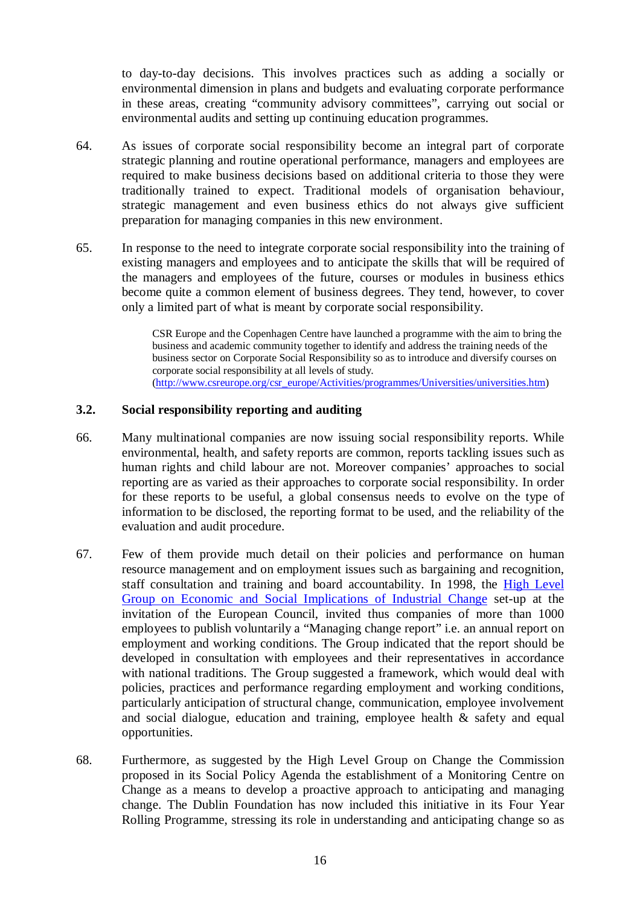to day-to-day decisions. This involves practices such as adding a socially or environmental dimension in plans and budgets and evaluating corporate performance in these areas, creating "community advisory committees", carrying out social or environmental audits and setting up continuing education programmes.

- 64. As issues of corporate social responsibility become an integral part of corporate strategic planning and routine operational performance, managers and employees are required to make business decisions based on additional criteria to those they were traditionally trained to expect. Traditional models of organisation behaviour, strategic management and even business ethics do not always give sufficient preparation for managing companies in this new environment.
- 65. In response to the need to integrate corporate social responsibility into the training of existing managers and employees and to anticipate the skills that will be required of the managers and employees of the future, courses or modules in business ethics become quite a common element of business degrees. They tend, however, to cover only a limited part of what is meant by corporate social responsibility.

CSR Europe and the Copenhagen Centre have launched a programme with the aim to bring the business and academic community together to identify and address the training needs of the business sector on Corporate Social Responsibility so as to introduce and diversify courses on corporate social responsibility at all levels of study. (http://www.csreurope.org/csr\_europe/Activities/programmes/Universities/universities.htm)

# **3.2. Social responsibility reporting and auditing**

- 66. Many multinational companies are now issuing social responsibility reports. While environmental, health, and safety reports are common, reports tackling issues such as human rights and child labour are not. Moreover companies' approaches to social reporting are as varied as their approaches to corporate social responsibility. In order for these reports to be useful, a global consensus needs to evolve on the type of information to be disclosed, the reporting format to be used, and the reliability of the evaluation and audit procedure.
- 67. Few of them provide much detail on their policies and performance on human resource management and on employment issues such as bargaining and recognition, staff consultation and training and board accountability. In 1998, the High Level Group on Economic and Social Implications of Industrial Change set-up at the invitation of the European Council, invited thus companies of more than 1000 employees to publish voluntarily a "Managing change report" i.e. an annual report on employment and working conditions. The Group indicated that the report should be developed in consultation with employees and their representatives in accordance with national traditions. The Group suggested a framework, which would deal with policies, practices and performance regarding employment and working conditions, particularly anticipation of structural change, communication, employee involvement and social dialogue, education and training, employee health & safety and equal opportunities.
- 68. Furthermore, as suggested by the High Level Group on Change the Commission proposed in its Social Policy Agenda the establishment of a Monitoring Centre on Change as a means to develop a proactive approach to anticipating and managing change. The Dublin Foundation has now included this initiative in its Four Year Rolling Programme, stressing its role in understanding and anticipating change so as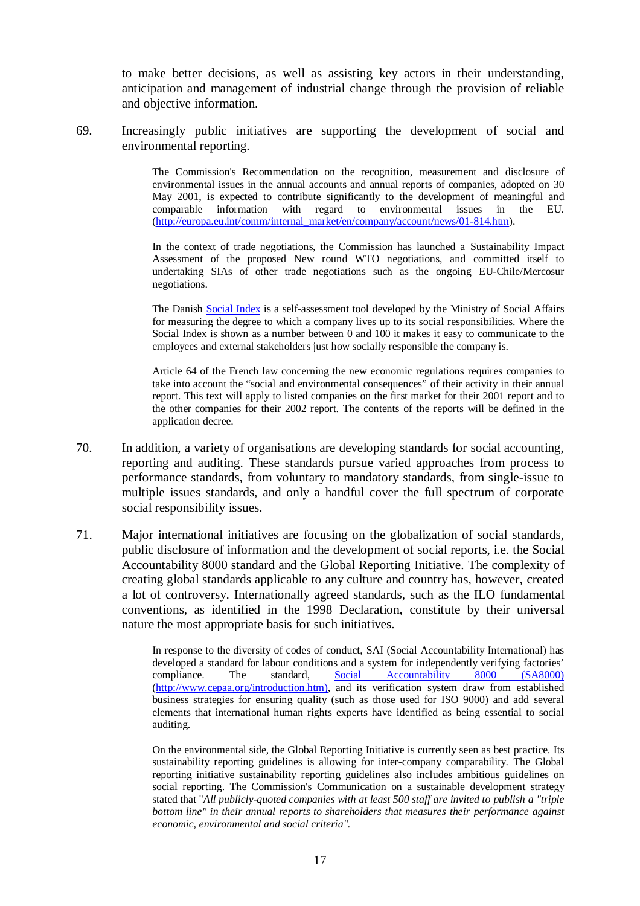to make better decisions, as well as assisting key actors in their understanding, anticipation and management of industrial change through the provision of reliable and objective information.

69. Increasingly public initiatives are supporting the development of social and environmental reporting.

> The Commission's Recommendation on the recognition, measurement and disclosure of environmental issues in the annual accounts and annual reports of companies, adopted on 30 May 2001, is expected to contribute significantly to the development of meaningful and comparable information with regard to environmental issues in the EU. (http://europa.eu.int/comm/internal\_market/en/company/account/news/01-814.htm).

> In the context of trade negotiations, the Commission has launched a Sustainability Impact Assessment of the proposed New round WTO negotiations, and committed itself to undertaking SIAs of other trade negotiations such as the ongoing EU-Chile/Mercosur negotiations.

> The Danish **Social Index** is a self-assessment tool developed by the Ministry of Social Affairs for measuring the degree to which a company lives up to its social responsibilities. Where the Social Index is shown as a number between 0 and 100 it makes it easy to communicate to the employees and external stakeholders just how socially responsible the company is.

> Article 64 of the French law concerning the new economic regulations requires companies to take into account the "social and environmental consequences" of their activity in their annual report. This text will apply to listed companies on the first market for their 2001 report and to the other companies for their 2002 report. The contents of the reports will be defined in the application decree.

- 70. In addition, a variety of organisations are developing standards for social accounting, reporting and auditing. These standards pursue varied approaches from process to performance standards, from voluntary to mandatory standards, from single-issue to multiple issues standards, and only a handful cover the full spectrum of corporate social responsibility issues.
- 71. Major international initiatives are focusing on the globalization of social standards, public disclosure of information and the development of social reports, i.e. the Social Accountability 8000 standard and the Global Reporting Initiative. The complexity of creating global standards applicable to any culture and country has, however, created a lot of controversy. Internationally agreed standards, such as the ILO fundamental conventions, as identified in the 1998 Declaration, constitute by their universal nature the most appropriate basis for such initiatives.

In response to the diversity of codes of conduct, SAI (Social Accountability International) has developed a standard for labour conditions and a system for independently verifying factories' compliance. The standard, Social Accountability 8000 (SA8000) (http://www.cepaa.org/introduction.htm), and its verification system draw from established business strategies for ensuring quality (such as those used for ISO 9000) and add several elements that international human rights experts have identified as being essential to social auditing.

On the environmental side, the Global Reporting Initiative is currently seen as best practice. Its sustainability reporting guidelines is allowing for inter-company comparability. The Global reporting initiative sustainability reporting guidelines also includes ambitious guidelines on social reporting. The Commission's Communication on a sustainable development strategy stated that "*All publicly-quoted companies with at least 500 staff are invited to publish a "triple bottom line" in their annual reports to shareholders that measures their performance against economic, environmental and social criteria".*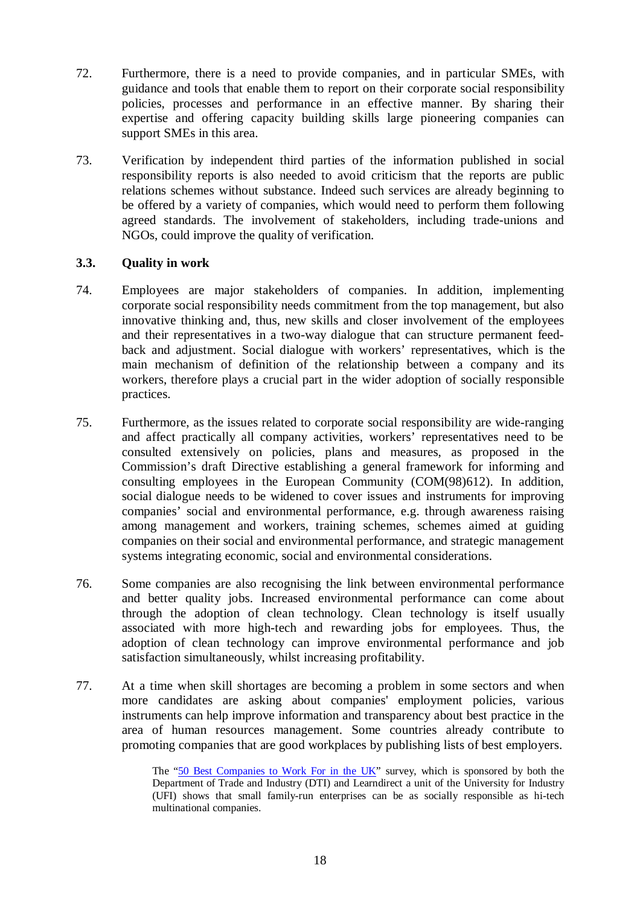- 72. Furthermore, there is a need to provide companies, and in particular SMEs, with guidance and tools that enable them to report on their corporate social responsibility policies, processes and performance in an effective manner. By sharing their expertise and offering capacity building skills large pioneering companies can support SMEs in this area.
- 73. Verification by independent third parties of the information published in social responsibility reports is also needed to avoid criticism that the reports are public relations schemes without substance. Indeed such services are already beginning to be offered by a variety of companies, which would need to perform them following agreed standards. The involvement of stakeholders, including trade-unions and NGOs, could improve the quality of verification.

# **3.3. Quality in work**

- 74. Employees are major stakeholders of companies. In addition, implementing corporate social responsibility needs commitment from the top management, but also innovative thinking and, thus, new skills and closer involvement of the employees and their representatives in a two-way dialogue that can structure permanent feedback and adjustment. Social dialogue with workers' representatives, which is the main mechanism of definition of the relationship between a company and its workers, therefore plays a crucial part in the wider adoption of socially responsible practices.
- 75. Furthermore, as the issues related to corporate social responsibility are wide-ranging and affect practically all company activities, workers' representatives need to be consulted extensively on policies, plans and measures, as proposed in the Commission's draft Directive establishing a general framework for informing and consulting employees in the European Community (COM(98)612). In addition, social dialogue needs to be widened to cover issues and instruments for improving companies' social and environmental performance, e.g. through awareness raising among management and workers, training schemes, schemes aimed at guiding companies on their social and environmental performance, and strategic management systems integrating economic, social and environmental considerations.
- 76. Some companies are also recognising the link between environmental performance and better quality jobs. Increased environmental performance can come about through the adoption of clean technology. Clean technology is itself usually associated with more high-tech and rewarding jobs for employees. Thus, the adoption of clean technology can improve environmental performance and job satisfaction simultaneously, whilst increasing profitability.
- 77. At a time when skill shortages are becoming a problem in some sectors and when more candidates are asking about companies' employment policies, various instruments can help improve information and transparency about best practice in the area of human resources management. Some countries already contribute to promoting companies that are good workplaces by publishing lists of best employers.

The "50 Best Companies to Work For in the UK" survey, which is sponsored by both the Department of Trade and Industry (DTI) and Learndirect a unit of the University for Industry (UFI) shows that small family-run enterprises can be as socially responsible as hi-tech multinational companies.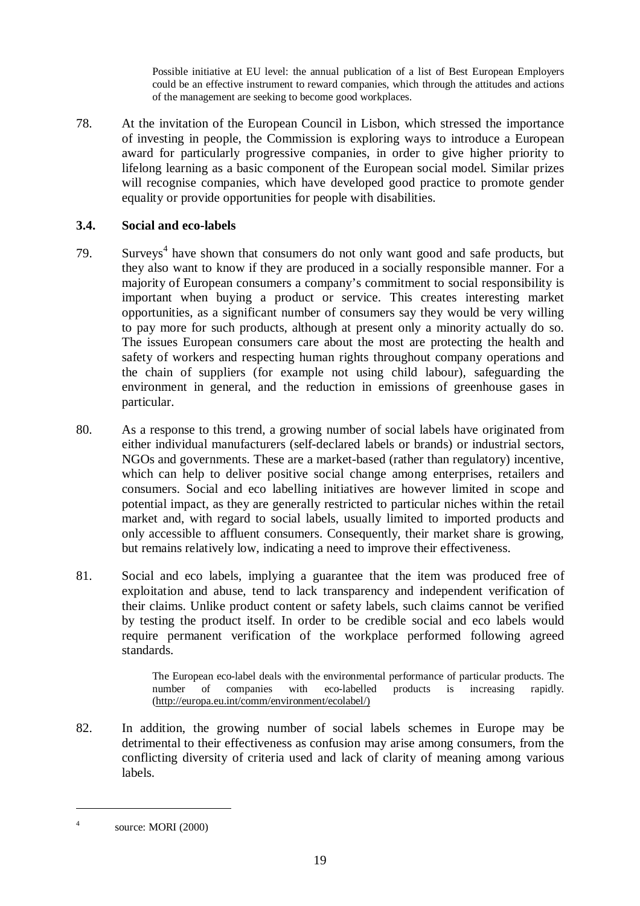Possible initiative at EU level: the annual publication of a list of Best European Employers could be an effective instrument to reward companies, which through the attitudes and actions of the management are seeking to become good workplaces.

78. At the invitation of the European Council in Lisbon, which stressed the importance of investing in people, the Commission is exploring ways to introduce a European award for particularly progressive companies, in order to give higher priority to lifelong learning as a basic component of the European social model. Similar prizes will recognise companies, which have developed good practice to promote gender equality or provide opportunities for people with disabilities.

# **3.4. Social and eco-labels**

- 79. Surveys<sup>4</sup> have shown that consumers do not only want good and safe products, but they also want to know if they are produced in a socially responsible manner. For a majority of European consumers a company's commitment to social responsibility is important when buying a product or service. This creates interesting market opportunities, as a significant number of consumers say they would be very willing to pay more for such products, although at present only a minority actually do so. The issues European consumers care about the most are protecting the health and safety of workers and respecting human rights throughout company operations and the chain of suppliers (for example not using child labour), safeguarding the environment in general, and the reduction in emissions of greenhouse gases in particular.
- 80. As a response to this trend, a growing number of social labels have originated from either individual manufacturers (self-declared labels or brands) or industrial sectors, NGOs and governments. These are a market-based (rather than regulatory) incentive, which can help to deliver positive social change among enterprises, retailers and consumers. Social and eco labelling initiatives are however limited in scope and potential impact, as they are generally restricted to particular niches within the retail market and, with regard to social labels, usually limited to imported products and only accessible to affluent consumers. Consequently, their market share is growing, but remains relatively low, indicating a need to improve their effectiveness.
- 81. Social and eco labels, implying a guarantee that the item was produced free of exploitation and abuse, tend to lack transparency and independent verification of their claims. Unlike product content or safety labels, such claims cannot be verified by testing the product itself. In order to be credible social and eco labels would require permanent verification of the workplace performed following agreed standards.

The European eco-label deals with the environmental performance of particular products. The number of companies with eco-labelled products is increasing rapidly. (http://europa.eu.int/comm/environment/ecolabel/)

82. In addition, the growing number of social labels schemes in Europe may be detrimental to their effectiveness as confusion may arise among consumers, from the conflicting diversity of criteria used and lack of clarity of meaning among various labels.

<sup>4</sup> source: MORI (2000)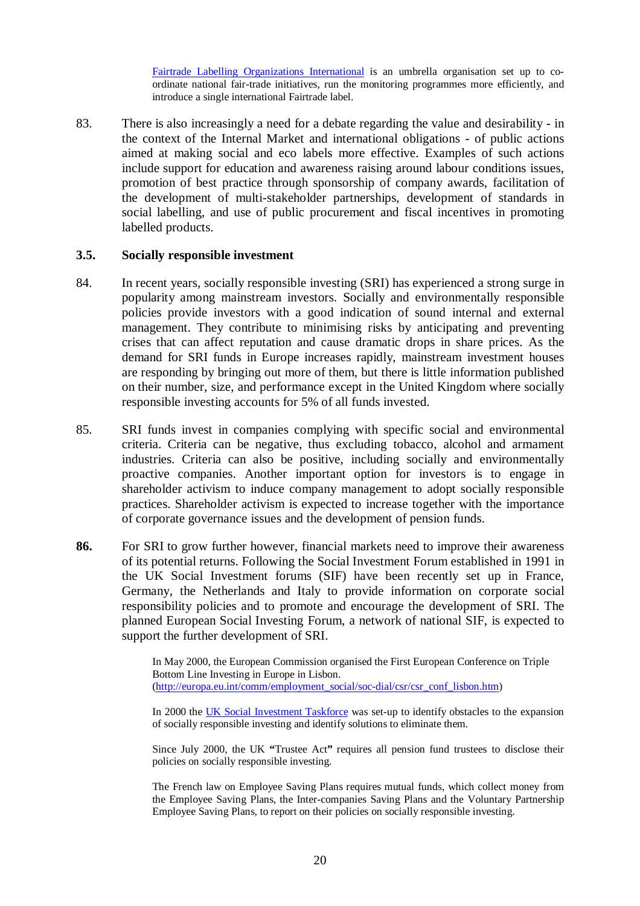Fairtrade Labelling Organizations International is an umbrella organisation set up to coordinate national fair-trade initiatives, run the monitoring programmes more efficiently, and introduce a single international Fairtrade label.

83. There is also increasingly a need for a debate regarding the value and desirability - in the context of the Internal Market and international obligations - of public actions aimed at making social and eco labels more effective. Examples of such actions include support for education and awareness raising around labour conditions issues, promotion of best practice through sponsorship of company awards, facilitation of the development of multi-stakeholder partnerships, development of standards in social labelling, and use of public procurement and fiscal incentives in promoting labelled products.

#### **3.5. Socially responsible investment**

- 84. In recent years, socially responsible investing (SRI) has experienced a strong surge in popularity among mainstream investors. Socially and environmentally responsible policies provide investors with a good indication of sound internal and external management. They contribute to minimising risks by anticipating and preventing crises that can affect reputation and cause dramatic drops in share prices. As the demand for SRI funds in Europe increases rapidly, mainstream investment houses are responding by bringing out more of them, but there is little information published on their number, size, and performance except in the United Kingdom where socially responsible investing accounts for 5% of all funds invested.
- 85. SRI funds invest in companies complying with specific social and environmental criteria. Criteria can be negative, thus excluding tobacco, alcohol and armament industries. Criteria can also be positive, including socially and environmentally proactive companies. Another important option for investors is to engage in shareholder activism to induce company management to adopt socially responsible practices. Shareholder activism is expected to increase together with the importance of corporate governance issues and the development of pension funds.
- **86.** For SRI to grow further however, financial markets need to improve their awareness of its potential returns. Following the Social Investment Forum established in 1991 in the UK Social Investment forums (SIF) have been recently set up in France, Germany, the Netherlands and Italy to provide information on corporate social responsibility policies and to promote and encourage the development of SRI. The planned European Social Investing Forum, a network of national SIF, is expected to support the further development of SRI.

In May 2000, the European Commission organised the First European Conference on Triple Bottom Line Investing in Europe in Lisbon. (http://europa.eu.int/comm/employment\_social/soc-dial/csr/csr\_conf\_lisbon.htm)

In 2000 the UK Social Investment Taskforce was set-up to identify obstacles to the expansion of socially responsible investing and identify solutions to eliminate them.

Since July 2000, the UK **"**Trustee Act**"** requires all pension fund trustees to disclose their policies on socially responsible investing.

The French law on Employee Saving Plans requires mutual funds, which collect money from the Employee Saving Plans, the Inter-companies Saving Plans and the Voluntary Partnership Employee Saving Plans, to report on their policies on socially responsible investing.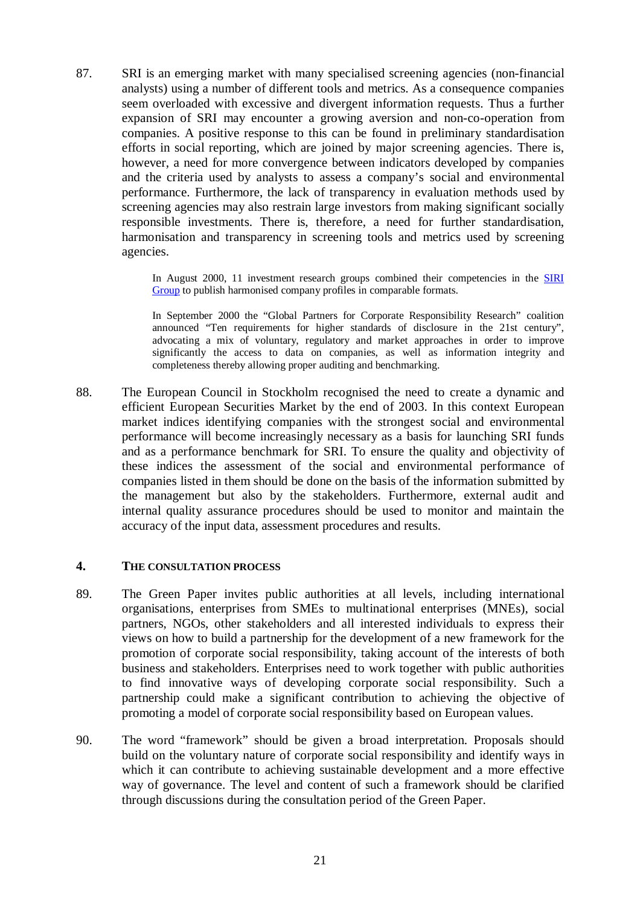87. SRI is an emerging market with many specialised screening agencies (non-financial analysts) using a number of different tools and metrics. As a consequence companies seem overloaded with excessive and divergent information requests. Thus a further expansion of SRI may encounter a growing aversion and non-co-operation from companies. A positive response to this can be found in preliminary standardisation efforts in social reporting, which are joined by major screening agencies. There is, however, a need for more convergence between indicators developed by companies and the criteria used by analysts to assess a company's social and environmental performance. Furthermore, the lack of transparency in evaluation methods used by screening agencies may also restrain large investors from making significant socially responsible investments. There is, therefore, a need for further standardisation, harmonisation and transparency in screening tools and metrics used by screening agencies.

> In August 2000, 11 investment research groups combined their competencies in the SIRI Group to publish harmonised company profiles in comparable formats.

> In September 2000 the "Global Partners for Corporate Responsibility Research" coalition announced "Ten requirements for higher standards of disclosure in the 21st century", advocating a mix of voluntary, regulatory and market approaches in order to improve significantly the access to data on companies, as well as information integrity and completeness thereby allowing proper auditing and benchmarking.

88. The European Council in Stockholm recognised the need to create a dynamic and efficient European Securities Market by the end of 2003. In this context European market indices identifying companies with the strongest social and environmental performance will become increasingly necessary as a basis for launching SRI funds and as a performance benchmark for SRI. To ensure the quality and objectivity of these indices the assessment of the social and environmental performance of companies listed in them should be done on the basis of the information submitted by the management but also by the stakeholders. Furthermore, external audit and internal quality assurance procedures should be used to monitor and maintain the accuracy of the input data, assessment procedures and results.

#### **4. THE CONSULTATION PROCESS**

- 89. The Green Paper invites public authorities at all levels, including international organisations, enterprises from SMEs to multinational enterprises (MNEs), social partners, NGOs, other stakeholders and all interested individuals to express their views on how to build a partnership for the development of a new framework for the promotion of corporate social responsibility, taking account of the interests of both business and stakeholders. Enterprises need to work together with public authorities to find innovative ways of developing corporate social responsibility. Such a partnership could make a significant contribution to achieving the objective of promoting a model of corporate social responsibility based on European values.
- 90. The word "framework" should be given a broad interpretation. Proposals should build on the voluntary nature of corporate social responsibility and identify ways in which it can contribute to achieving sustainable development and a more effective way of governance. The level and content of such a framework should be clarified through discussions during the consultation period of the Green Paper.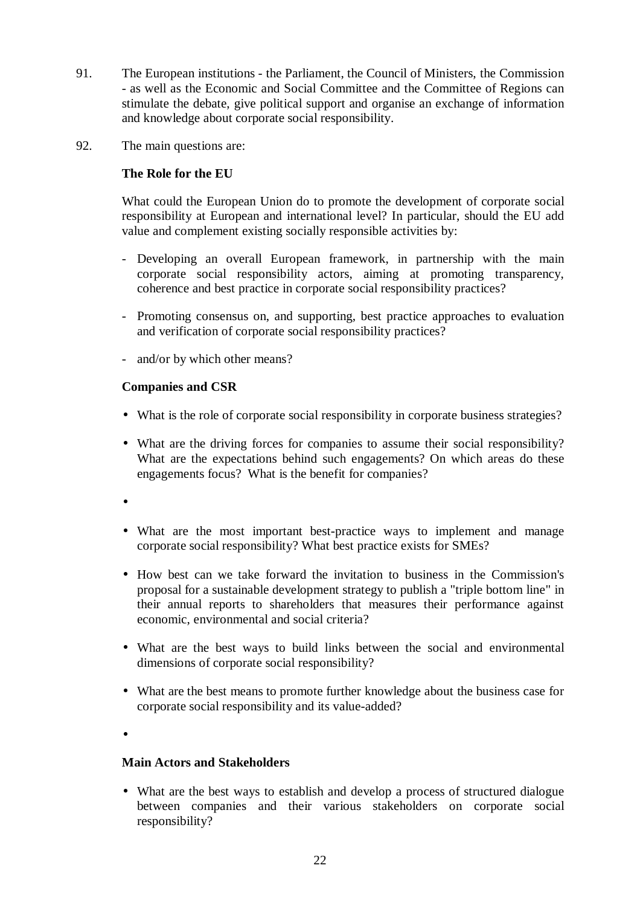- 91. The European institutions the Parliament, the Council of Ministers, the Commission - as well as the Economic and Social Committee and the Committee of Regions can stimulate the debate, give political support and organise an exchange of information and knowledge about corporate social responsibility.
- 92. The main questions are:

# **The Role for the EU**

What could the European Union do to promote the development of corporate social responsibility at European and international level? In particular, should the EU add value and complement existing socially responsible activities by:

- Developing an overall European framework, in partnership with the main corporate social responsibility actors, aiming at promoting transparency, coherence and best practice in corporate social responsibility practices?
- Promoting consensus on, and supporting, best practice approaches to evaluation and verification of corporate social responsibility practices?
- and/or by which other means?

# **Companies and CSR**

- What is the role of corporate social responsibility in corporate business strategies?
- What are the driving forces for companies to assume their social responsibility? What are the expectations behind such engagements? On which areas do these engagements focus? What is the benefit for companies?
- •
- What are the most important best-practice ways to implement and manage corporate social responsibility? What best practice exists for SMEs?
- How best can we take forward the invitation to business in the Commission's proposal for a sustainable development strategy to publish a "triple bottom line" in their annual reports to shareholders that measures their performance against economic, environmental and social criteria?
- What are the best ways to build links between the social and environmental dimensions of corporate social responsibility?
- What are the best means to promote further knowledge about the business case for corporate social responsibility and its value-added?
- •

### **Main Actors and Stakeholders**

• What are the best ways to establish and develop a process of structured dialogue between companies and their various stakeholders on corporate social responsibility?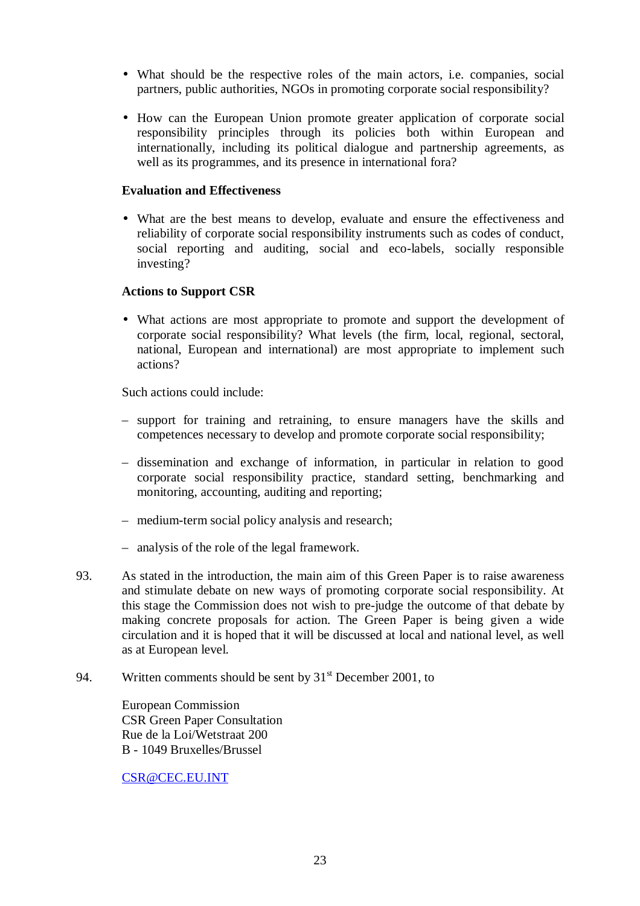- What should be the respective roles of the main actors, i.e. companies, social partners, public authorities, NGOs in promoting corporate social responsibility?
- How can the European Union promote greater application of corporate social responsibility principles through its policies both within European and internationally, including its political dialogue and partnership agreements, as well as its programmes, and its presence in international fora?

# **Evaluation and Effectiveness**

• What are the best means to develop, evaluate and ensure the effectiveness and reliability of corporate social responsibility instruments such as codes of conduct, social reporting and auditing, social and eco-labels, socially responsible investing?

# **Actions to Support CSR**

• What actions are most appropriate to promote and support the development of corporate social responsibility? What levels (the firm, local, regional, sectoral, national, European and international) are most appropriate to implement such actions?

Such actions could include:

- support for training and retraining, to ensure managers have the skills and competences necessary to develop and promote corporate social responsibility;
- dissemination and exchange of information, in particular in relation to good corporate social responsibility practice, standard setting, benchmarking and monitoring, accounting, auditing and reporting;
- medium-term social policy analysis and research;
- analysis of the role of the legal framework.
- 93. As stated in the introduction, the main aim of this Green Paper is to raise awareness and stimulate debate on new ways of promoting corporate social responsibility. At this stage the Commission does not wish to pre-judge the outcome of that debate by making concrete proposals for action. The Green Paper is being given a wide circulation and it is hoped that it will be discussed at local and national level, as well as at European level.
- 94. Written comments should be sent by  $31<sup>st</sup>$  December 2001, to

European Commission CSR Green Paper Consultation Rue de la Loi/Wetstraat 200 B - 1049 Bruxelles/Brussel

CSR@CEC.EU.INT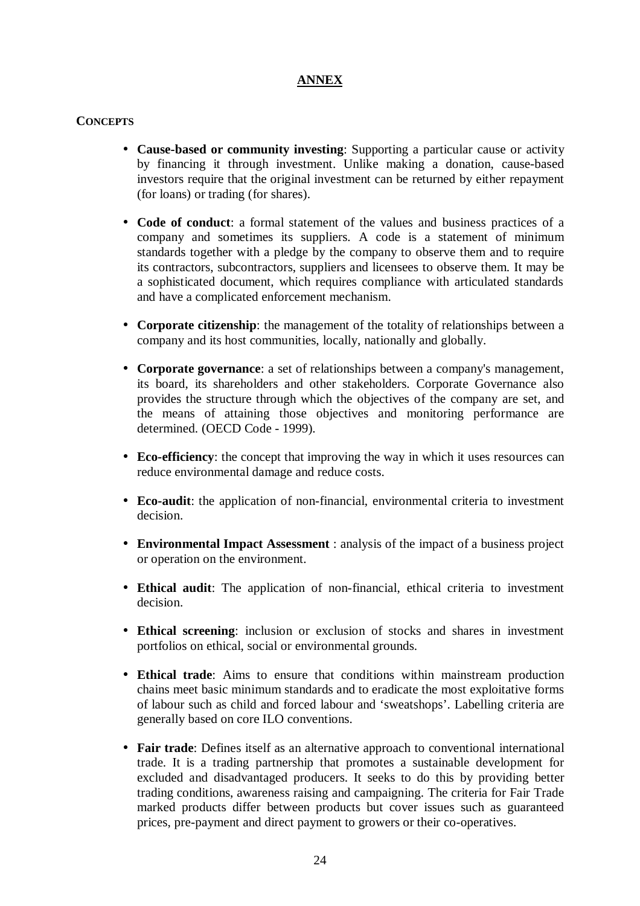# **ANNEX**

# **CONCEPTS**

- **Cause-based or community investing**: Supporting a particular cause or activity by financing it through investment. Unlike making a donation, cause-based investors require that the original investment can be returned by either repayment (for loans) or trading (for shares).
- **Code of conduct**: a formal statement of the values and business practices of a company and sometimes its suppliers. A code is a statement of minimum standards together with a pledge by the company to observe them and to require its contractors, subcontractors, suppliers and licensees to observe them. It may be a sophisticated document, which requires compliance with articulated standards and have a complicated enforcement mechanism.
- **Corporate citizenship**: the management of the totality of relationships between a company and its host communities, locally, nationally and globally.
- **Corporate governance**: a set of relationships between a company's management, its board, its shareholders and other stakeholders. Corporate Governance also provides the structure through which the objectives of the company are set, and the means of attaining those objectives and monitoring performance are determined. (OECD Code - 1999).
- **Eco-efficiency**: the concept that improving the way in which it uses resources can reduce environmental damage and reduce costs.
- **Eco-audit**: the application of non-financial, environmental criteria to investment decision.
- **Environmental Impact Assessment** : analysis of the impact of a business project or operation on the environment.
- **Ethical audit**: The application of non-financial, ethical criteria to investment decision.
- **Ethical screening**: inclusion or exclusion of stocks and shares in investment portfolios on ethical, social or environmental grounds.
- **Ethical trade**: Aims to ensure that conditions within mainstream production chains meet basic minimum standards and to eradicate the most exploitative forms of labour such as child and forced labour and 'sweatshops'. Labelling criteria are generally based on core ILO conventions.
- **Fair trade**: Defines itself as an alternative approach to conventional international trade. It is a trading partnership that promotes a sustainable development for excluded and disadvantaged producers. It seeks to do this by providing better trading conditions, awareness raising and campaigning. The criteria for Fair Trade marked products differ between products but cover issues such as guaranteed prices, pre-payment and direct payment to growers or their co-operatives.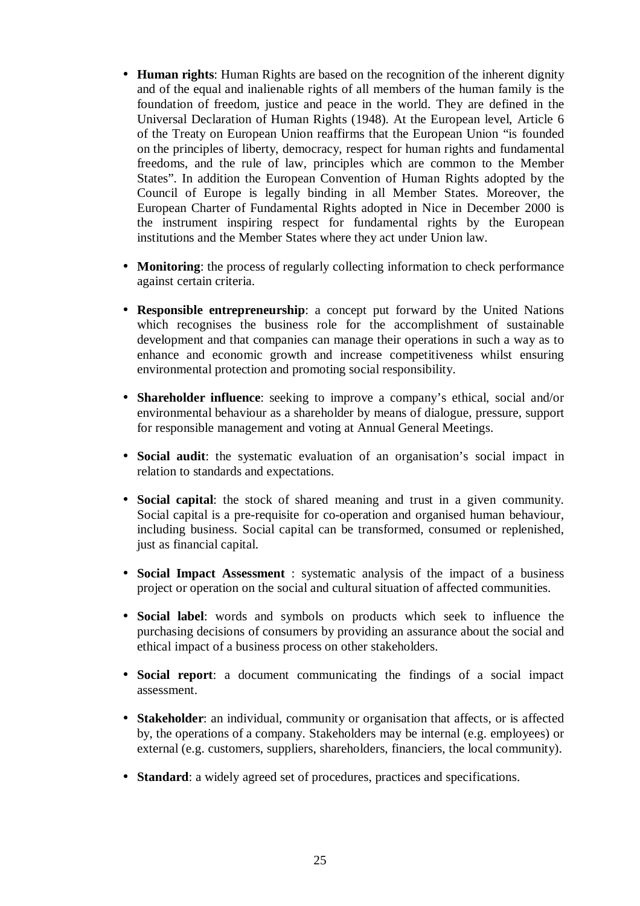- **Human rights**: Human Rights are based on the recognition of the inherent dignity and of the equal and inalienable rights of all members of the human family is the foundation of freedom, justice and peace in the world. They are defined in the Universal Declaration of Human Rights (1948). At the European level, Article 6 of the Treaty on European Union reaffirms that the European Union "is founded on the principles of liberty, democracy, respect for human rights and fundamental freedoms, and the rule of law, principles which are common to the Member States". In addition the European Convention of Human Rights adopted by the Council of Europe is legally binding in all Member States. Moreover, the European Charter of Fundamental Rights adopted in Nice in December 2000 is the instrument inspiring respect for fundamental rights by the European institutions and the Member States where they act under Union law.
- **Monitoring**: the process of regularly collecting information to check performance against certain criteria.
- **Responsible entrepreneurship**: a concept put forward by the United Nations which recognises the business role for the accomplishment of sustainable development and that companies can manage their operations in such a way as to enhance and economic growth and increase competitiveness whilst ensuring environmental protection and promoting social responsibility.
- **Shareholder influence**: seeking to improve a company's ethical, social and/or environmental behaviour as a shareholder by means of dialogue, pressure, support for responsible management and voting at Annual General Meetings.
- **Social audit**: the systematic evaluation of an organisation's social impact in relation to standards and expectations.
- **Social capital**: the stock of shared meaning and trust in a given community. Social capital is a pre-requisite for co-operation and organised human behaviour, including business. Social capital can be transformed, consumed or replenished, just as financial capital.
- **Social Impact Assessment** : systematic analysis of the impact of a business project or operation on the social and cultural situation of affected communities.
- **Social label**: words and symbols on products which seek to influence the purchasing decisions of consumers by providing an assurance about the social and ethical impact of a business process on other stakeholders.
- **Social report**: a document communicating the findings of a social impact assessment.
- **Stakeholder**: an individual, community or organisation that affects, or is affected by, the operations of a company. Stakeholders may be internal (e.g. employees) or external (e.g. customers, suppliers, shareholders, financiers, the local community).
- **Standard**: a widely agreed set of procedures, practices and specifications.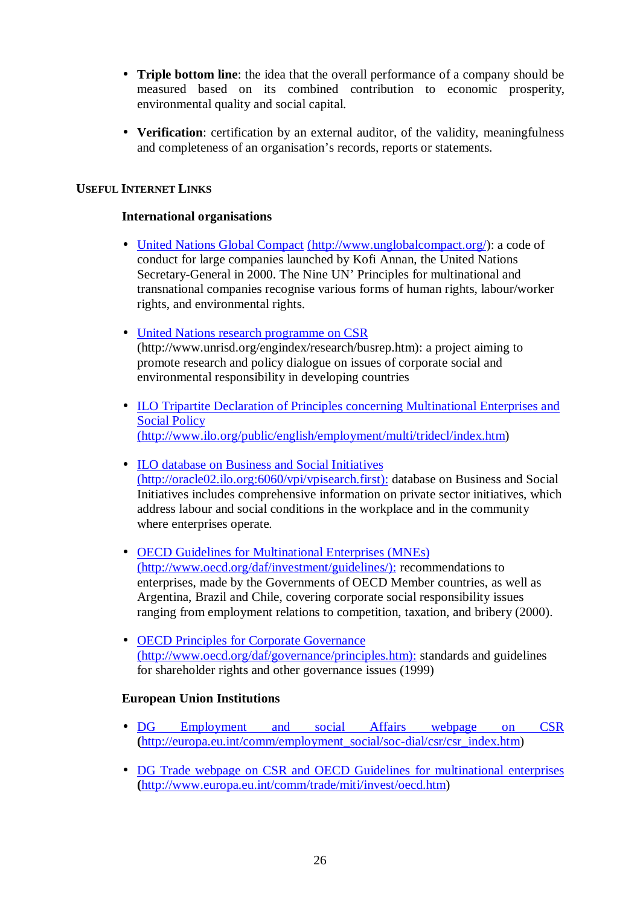- **Triple bottom line**: the idea that the overall performance of a company should be measured based on its combined contribution to economic prosperity, environmental quality and social capital.
- **Verification**: certification by an external auditor, of the validity, meaningfulness and completeness of an organisation's records, reports or statements.

# **USEFUL INTERNET LINKS**

### **International organisations**

- United Nations Global Compact (http://www.unglobalcompact.org/): a code of conduct for large companies launched by Kofi Annan, the United Nations Secretary-General in 2000. The Nine UN' Principles for multinational and transnational companies recognise various forms of human rights, labour/worker rights, and environmental rights.
- United Nations research programme on CSR (http://www.unrisd.org/engindex/research/busrep.htm): a project aiming to promote research and policy dialogue on issues of corporate social and environmental responsibility in developing countries
- ILO Tripartite Declaration of Principles concerning Multinational Enterprises and Social Policy (http://www.ilo.org/public/english/employment/multi/tridecl/index.htm)
- ILO database on Business and Social Initiatives (http://oracle02.ilo.org:6060/vpi/vpisearch.first): database on Business and Social Initiatives includes comprehensive information on private sector initiatives, which address labour and social conditions in the workplace and in the community where enterprises operate.
- **OECD Guidelines for Multinational Enterprises (MNEs)** (http://www.oecd.org/daf/investment/guidelines/): recommendations to enterprises, made by the Governments of OECD Member countries, as well as Argentina, Brazil and Chile, covering corporate social responsibility issues ranging from employment relations to competition, taxation, and bribery (2000).
- **OECD Principles for Corporate Governance** (http://www.oecd.org/daf/governance/principles.htm): standards and guidelines for shareholder rights and other governance issues (1999)

# **European Union Institutions**

- DG Employment and social Affairs webpage on CSR **(**http://europa.eu.int/comm/employment\_social/soc-dial/csr/csr\_index.htm)
- DG Trade webpage on CSR and OECD Guidelines for multinational enterprises **(**http://www.europa.eu.int/comm/trade/miti/invest/oecd.htm)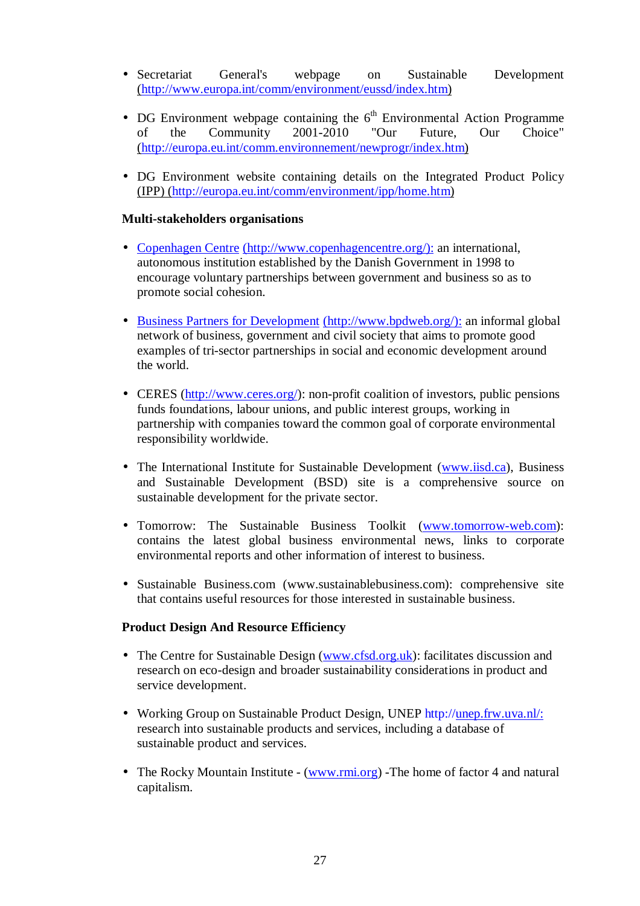- Secretariat General's webpage on Sustainable Development (http://www.europa.int/comm/environment/eussd/index.htm)
- DG Environment webpage containing the  $6<sup>th</sup>$  Environmental Action Programme of the Community 2001-2010 "Our Future, Our Choice" (http://europa.eu.int/comm.environnement/newprogr/index.htm)
- DG Environment website containing details on the Integrated Product Policy (IPP) (http://europa.eu.int/comm/environment/ipp/home.htm)

# **Multi-stakeholders organisations**

- Copenhagen Centre (http://www.copenhagencentre.org/): an international, autonomous institution established by the Danish Government in 1998 to encourage voluntary partnerships between government and business so as to promote social cohesion.
- Business Partners for Development (http://www.bpdweb.org/): an informal global network of business, government and civil society that aims to promote good examples of tri-sector partnerships in social and economic development around the world.
- CERES (http://www.ceres.org/): non-profit coalition of investors, public pensions funds foundations, labour unions, and public interest groups, working in partnership with companies toward the common goal of corporate environmental responsibility worldwide.
- The International Institute for Sustainable Development (www.iisd.ca), Business and Sustainable Development (BSD) site is a comprehensive source on sustainable development for the private sector.
- Tomorrow: The Sustainable Business Toolkit (www.tomorrow-web.com): contains the latest global business environmental news, links to corporate environmental reports and other information of interest to business.
- Sustainable Business.com (www.sustainablebusiness.com): comprehensive site that contains useful resources for those interested in sustainable business.

#### **Product Design And Resource Efficiency**

- The Centre for Sustainable Design (www.cfsd.org.uk): facilitates discussion and research on eco-design and broader sustainability considerations in product and service development.
- Working Group on Sustainable Product Design, UNEP http://unep.frw.uva.nl/: research into sustainable products and services, including a database of sustainable product and services.
- The Rocky Mountain Institute (www.rmi.org) -The home of factor 4 and natural capitalism.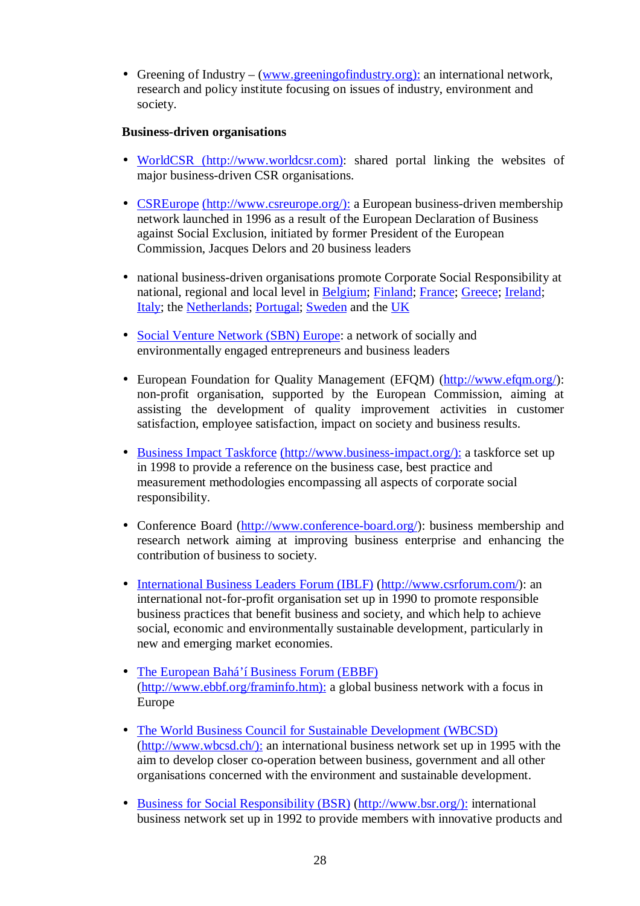• Greening of Industry – (www.greeningofindustry.org): an international network, research and policy institute focusing on issues of industry, environment and society.

# **Business-driven organisations**

- WorldCSR (http://www.worldcsr.com): shared portal linking the websites of major business-driven CSR organisations.
- CSREurope (http://www.csreurope.org/): a European business-driven membership network launched in 1996 as a result of the European Declaration of Business against Social Exclusion, initiated by former President of the European Commission, Jacques Delors and 20 business leaders
- national business-driven organisations promote Corporate Social Responsibility at national, regional and local level in Belgium; Finland; France; Greece; Ireland; Italy; the Netherlands; Portugal; Sweden and the UK
- Social Venture Network (SBN) Europe: a network of socially and environmentally engaged entrepreneurs and business leaders
- European Foundation for Quality Management (EFQM) (http://www.efqm.org/): non-profit organisation, supported by the European Commission, aiming at assisting the development of quality improvement activities in customer satisfaction, employee satisfaction, impact on society and business results.
- Business Impact Taskforce (http://www.business-impact.org/): a taskforce set up in 1998 to provide a reference on the business case, best practice and measurement methodologies encompassing all aspects of corporate social responsibility.
- Conference Board (http://www.conference-board.org/): business membership and research network aiming at improving business enterprise and enhancing the contribution of business to society.
- International Business Leaders Forum (IBLF) (http://www.csrforum.com/): an international not-for-profit organisation set up in 1990 to promote responsible business practices that benefit business and society, and which help to achieve social, economic and environmentally sustainable development, particularly in new and emerging market economies.
- The European Bahá'í Business Forum (EBBF) (http://www.ebbf.org/framinfo.htm): a global business network with a focus in Europe
- The World Business Council for Sustainable Development (WBCSD) (http://www.wbcsd.ch/): an international business network set up in 1995 with the aim to develop closer co-operation between business, government and all other organisations concerned with the environment and sustainable development.
- Business for Social Responsibility (BSR) (http://www.bsr.org/): international business network set up in 1992 to provide members with innovative products and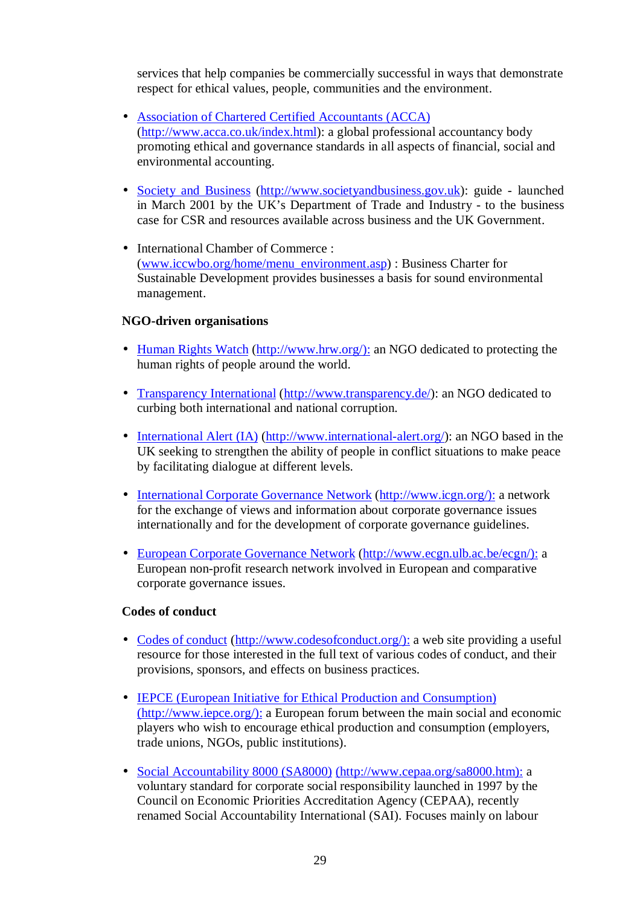services that help companies be commercially successful in ways that demonstrate respect for ethical values, people, communities and the environment.

- Association of Chartered Certified Accountants (ACCA) (http://www.acca.co.uk/index.html): a global professional accountancy body promoting ethical and governance standards in all aspects of financial, social and environmental accounting.
- Society and Business (http://www.societyandbusiness.gov.uk): guide launched in March 2001 by the UK's Department of Trade and Industry - to the business case for CSR and resources available across business and the UK Government.
- International Chamber of Commerce : (www.iccwbo.org/home/menu\_environment.asp) : Business Charter for Sustainable Development provides businesses a basis for sound environmental management.

# **NGO-driven organisations**

- Human Rights Watch (http://www.hrw.org/): an NGO dedicated to protecting the human rights of people around the world.
- Transparency International (http://www.transparency.de/): an NGO dedicated to curbing both international and national corruption.
- International Alert (IA) (http://www.international-alert.org/): an NGO based in the UK seeking to strengthen the ability of people in conflict situations to make peace by facilitating dialogue at different levels.
- International Corporate Governance Network (http://www.icgn.org/): a network for the exchange of views and information about corporate governance issues internationally and for the development of corporate governance guidelines.
- European Corporate Governance Network (http://www.ecgn.ulb.ac.be/ecgn/): a European non-profit research network involved in European and comparative corporate governance issues.

#### **Codes of conduct**

- Codes of conduct (http://www.codesofconduct.org/): a web site providing a useful resource for those interested in the full text of various codes of conduct, and their provisions, sponsors, and effects on business practices.
- IEPCE (European Initiative for Ethical Production and Consumption) (http://www.iepce.org/): a European forum between the main social and economic players who wish to encourage ethical production and consumption (employers, trade unions, NGOs, public institutions).
- Social Accountability 8000 (SA8000) (http://www.cepaa.org/sa8000.htm): a voluntary standard for corporate social responsibility launched in 1997 by the Council on Economic Priorities Accreditation Agency (CEPAA), recently renamed Social Accountability International (SAI). Focuses mainly on labour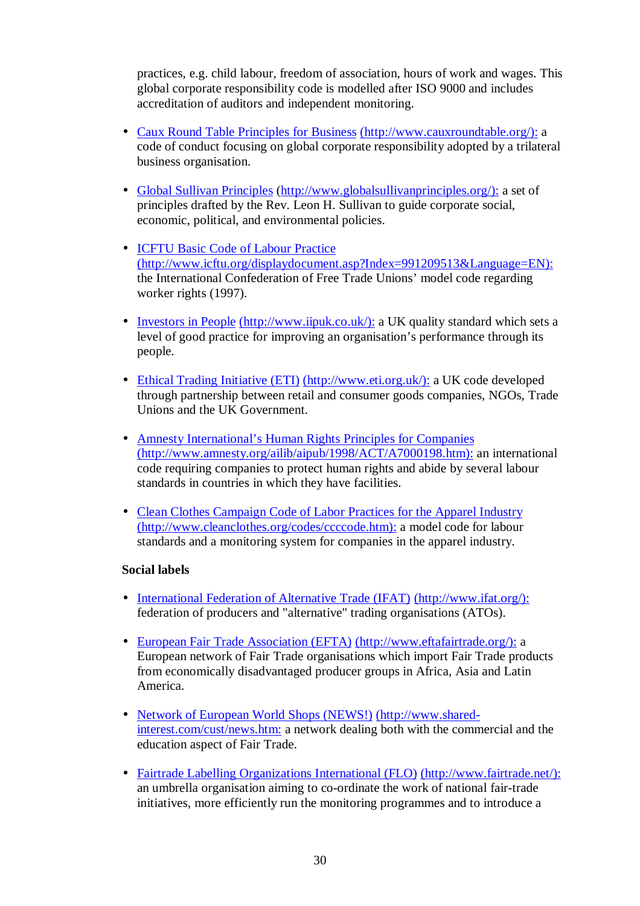practices, e.g. child labour, freedom of association, hours of work and wages. This global corporate responsibility code is modelled after ISO 9000 and includes accreditation of auditors and independent monitoring.

- Caux Round Table Principles for Business (http://www.cauxroundtable.org/): a code of conduct focusing on global corporate responsibility adopted by a trilateral business organisation.
- Global Sullivan Principles (http://www.globalsullivanprinciples.org/): a set of principles drafted by the Rev. Leon H. Sullivan to guide corporate social, economic, political, and environmental policies.
- ICFTU Basic Code of Labour Practice (http://www.icftu.org/displaydocument.asp?Index=991209513&Language=EN): the International Confederation of Free Trade Unions' model code regarding worker rights (1997).
- Investors in People (http://www.iipuk.co.uk/): a UK quality standard which sets a level of good practice for improving an organisation's performance through its people.
- Ethical Trading Initiative (ETI) (http://www.eti.org.uk/): a UK code developed through partnership between retail and consumer goods companies, NGOs, Trade Unions and the UK Government.
- Amnesty International's Human Rights Principles for Companies (http://www.amnesty.org/ailib/aipub/1998/ACT/A7000198.htm): an international code requiring companies to protect human rights and abide by several labour standards in countries in which they have facilities.
- Clean Clothes Campaign Code of Labor Practices for the Apparel Industry (http://www.cleanclothes.org/codes/ccccode.htm): a model code for labour standards and a monitoring system for companies in the apparel industry.

#### **Social labels**

- International Federation of Alternative Trade (IFAT) (http://www.ifat.org/): federation of producers and "alternative" trading organisations (ATOs).
- European Fair Trade Association (EFTA) (http://www.eftafairtrade.org/): a European network of Fair Trade organisations which import Fair Trade products from economically disadvantaged producer groups in Africa, Asia and Latin America.
- Network of European World Shops (NEWS!) (http://www.sharedinterest.com/cust/news.htm: a network dealing both with the commercial and the education aspect of Fair Trade.
- Fairtrade Labelling Organizations International (FLO) (http://www.fairtrade.net/): an umbrella organisation aiming to co-ordinate the work of national fair-trade initiatives, more efficiently run the monitoring programmes and to introduce a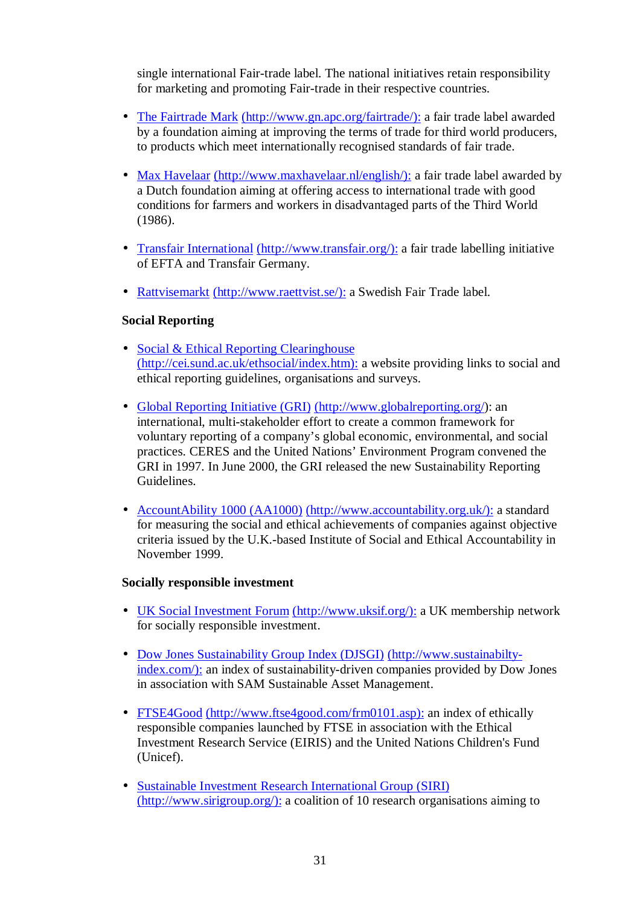single international Fair-trade label. The national initiatives retain responsibility for marketing and promoting Fair-trade in their respective countries.

- The Fairtrade Mark (http://www.gn.apc.org/fairtrade/): a fair trade label awarded by a foundation aiming at improving the terms of trade for third world producers, to products which meet internationally recognised standards of fair trade.
- Max Havelaar (http://www.maxhavelaar.nl/english/): a fair trade label awarded by a Dutch foundation aiming at offering access to international trade with good conditions for farmers and workers in disadvantaged parts of the Third World (1986).
- Transfair International (http://www.transfair.org/): a fair trade labelling initiative of EFTA and Transfair Germany.
- Rattyisemarkt (http://www.raettyist.se/): a Swedish Fair Trade label.

# **Social Reporting**

- Social & Ethical Reporting Clearinghouse (http://cei.sund.ac.uk/ethsocial/index.htm): a website providing links to social and ethical reporting guidelines, organisations and surveys.
- Global Reporting Initiative (GRI) (http://www.globalreporting.org/): an international, multi-stakeholder effort to create a common framework for voluntary reporting of a company's global economic, environmental, and social practices. CERES and the United Nations' Environment Program convened the GRI in 1997. In June 2000, the GRI released the new Sustainability Reporting Guidelines.
- AccountAbility 1000 (AA1000) (http://www.accountability.org.uk/): a standard for measuring the social and ethical achievements of companies against objective criteria issued by the U.K.-based Institute of Social and Ethical Accountability in November 1999.

#### **Socially responsible investment**

- UK Social Investment Forum (http://www.uksif.org/): a UK membership network for socially responsible investment.
- Dow Jones Sustainability Group Index (DJSGI) (http://www.sustainabiltyindex.com/): an index of sustainability-driven companies provided by Dow Jones in association with SAM Sustainable Asset Management.
- FTSE4Good (http://www.ftse4good.com/frm0101.asp): an index of ethically responsible companies launched by FTSE in association with the Ethical Investment Research Service (EIRIS) and the United Nations Children's Fund (Unicef).
- Sustainable Investment Research International Group (SIRI) (http://www.sirigroup.org/): a coalition of 10 research organisations aiming to